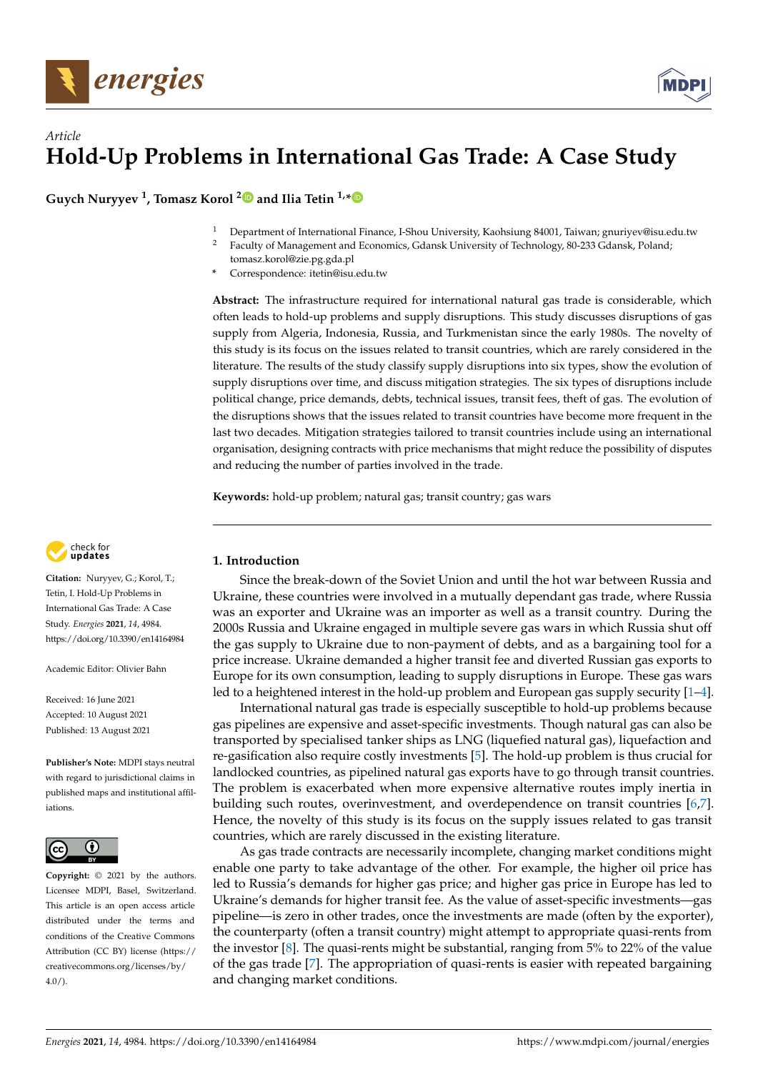

# *Article* **Hold-Up Problems in International Gas Trade: A Case Study**

**Guych Nuryyev <sup>1</sup> , Tomasz Korol [2](https://orcid.org/0000-0002-7623-3404) and Ilia Tetin 1,[\\*](https://orcid.org/0000-0003-2760-6267)**

- <sup>1</sup> Department of International Finance, I-Shou University, Kaohsiung 84001, Taiwan; gnuriyev@isu.edu.tw<br><sup>2</sup> Equalty of Management and Economics, Cdansk University of Technology, 80,222 Cdansk, Poland;
- <sup>2</sup> Faculty of Management and Economics, Gdansk University of Technology, 80-233 Gdansk, Poland; tomasz.korol@zie.pg.gda.pl
- **\*** Correspondence: itetin@isu.edu.tw

**Abstract:** The infrastructure required for international natural gas trade is considerable, which often leads to hold-up problems and supply disruptions. This study discusses disruptions of gas supply from Algeria, Indonesia, Russia, and Turkmenistan since the early 1980s. The novelty of this study is its focus on the issues related to transit countries, which are rarely considered in the literature. The results of the study classify supply disruptions into six types, show the evolution of supply disruptions over time, and discuss mitigation strategies. The six types of disruptions include political change, price demands, debts, technical issues, transit fees, theft of gas. The evolution of the disruptions shows that the issues related to transit countries have become more frequent in the last two decades. Mitigation strategies tailored to transit countries include using an international organisation, designing contracts with price mechanisms that might reduce the possibility of disputes and reducing the number of parties involved in the trade.

**Keywords:** hold-up problem; natural gas; transit country; gas wars



**Citation:** Nuryyev, G.; Korol, T.; Tetin, I. Hold-Up Problems in International Gas Trade: A Case Study. *Energies* **2021**, *14*, 4984. <https://doi.org/10.3390/en14164984>

Academic Editor: Olivier Bahn

Received: 16 June 2021 Accepted: 10 August 2021 Published: 13 August 2021

**Publisher's Note:** MDPI stays neutral with regard to jurisdictional claims in published maps and institutional affiliations.



**Copyright:** © 2021 by the authors. Licensee MDPI, Basel, Switzerland. This article is an open access article distributed under the terms and conditions of the Creative Commons Attribution (CC BY) license (https:/[/](https://creativecommons.org/licenses/by/4.0/) [creativecommons.org/licenses/by/](https://creativecommons.org/licenses/by/4.0/)  $4.0/$ ).

# **1. Introduction**

Since the break-down of the Soviet Union and until the hot war between Russia and Ukraine, these countries were involved in a mutually dependant gas trade, where Russia was an exporter and Ukraine was an importer as well as a transit country. During the 2000s Russia and Ukraine engaged in multiple severe gas wars in which Russia shut off the gas supply to Ukraine due to non-payment of debts, and as a bargaining tool for a price increase. Ukraine demanded a higher transit fee and diverted Russian gas exports to Europe for its own consumption, leading to supply disruptions in Europe. These gas wars led to a heightened interest in the hold-up problem and European gas supply security [\[1](#page-13-0)[–4\]](#page-13-1).

International natural gas trade is especially susceptible to hold-up problems because gas pipelines are expensive and asset-specific investments. Though natural gas can also be transported by specialised tanker ships as LNG (liquefied natural gas), liquefaction and re-gasification also require costly investments [\[5\]](#page-13-2). The hold-up problem is thus crucial for landlocked countries, as pipelined natural gas exports have to go through transit countries. The problem is exacerbated when more expensive alternative routes imply inertia in building such routes, overinvestment, and overdependence on transit countries [\[6,](#page-13-3)[7\]](#page-13-4). Hence, the novelty of this study is its focus on the supply issues related to gas transit countries, which are rarely discussed in the existing literature.

As gas trade contracts are necessarily incomplete, changing market conditions might enable one party to take advantage of the other. For example, the higher oil price has led to Russia's demands for higher gas price; and higher gas price in Europe has led to Ukraine's demands for higher transit fee. As the value of asset-specific investments—gas pipeline—is zero in other trades, once the investments are made (often by the exporter), the counterparty (often a transit country) might attempt to appropriate quasi-rents from the investor [\[8\]](#page-13-5). The quasi-rents might be substantial, ranging from 5% to 22% of the value of the gas trade [\[7\]](#page-13-4). The appropriation of quasi-rents is easier with repeated bargaining and changing market conditions.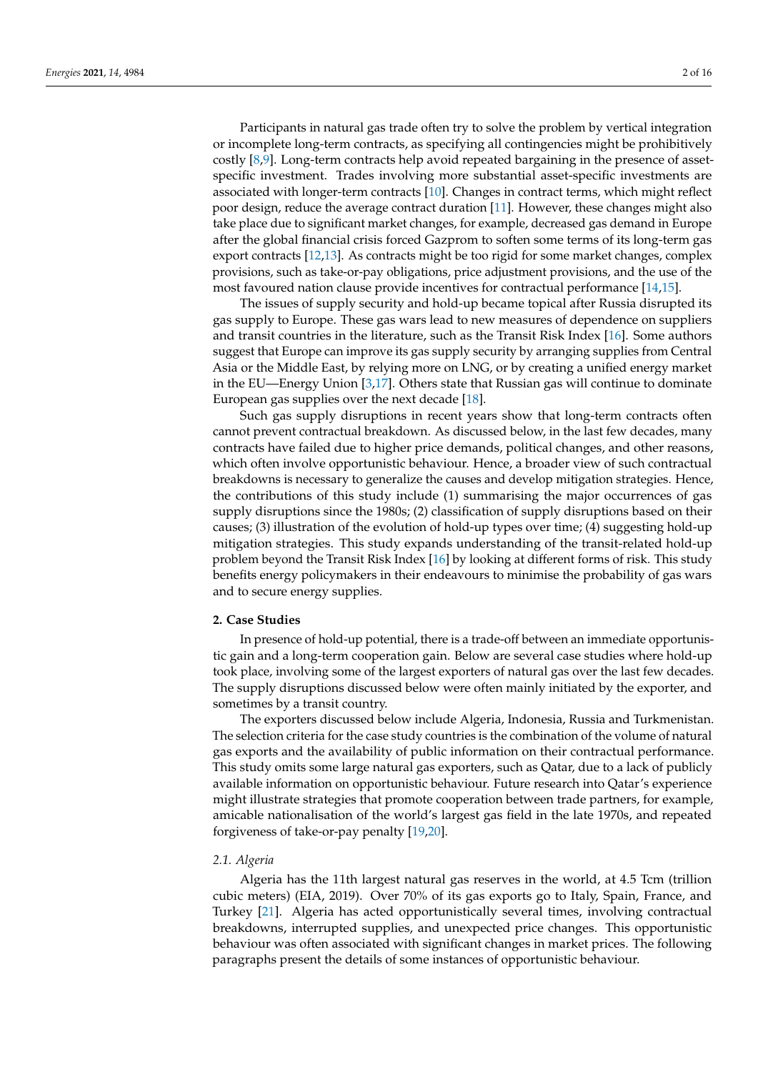Participants in natural gas trade often try to solve the problem by vertical integration or incomplete long-term contracts, as specifying all contingencies might be prohibitively costly [\[8,](#page-13-5)[9\]](#page-13-6). Long-term contracts help avoid repeated bargaining in the presence of assetspecific investment. Trades involving more substantial asset-specific investments are associated with longer-term contracts [\[10\]](#page-13-7). Changes in contract terms, which might reflect poor design, reduce the average contract duration [\[11\]](#page-13-8). However, these changes might also take place due to significant market changes, for example, decreased gas demand in Europe after the global financial crisis forced Gazprom to soften some terms of its long-term gas export contracts [\[12](#page-13-9)[,13\]](#page-13-10). As contracts might be too rigid for some market changes, complex provisions, such as take-or-pay obligations, price adjustment provisions, and the use of the most favoured nation clause provide incentives for contractual performance [\[14](#page-13-11)[,15\]](#page-13-12).

The issues of supply security and hold-up became topical after Russia disrupted its gas supply to Europe. These gas wars lead to new measures of dependence on suppliers and transit countries in the literature, such as the Transit Risk Index [\[16\]](#page-13-13). Some authors suggest that Europe can improve its gas supply security by arranging supplies from Central Asia or the Middle East, by relying more on LNG, or by creating a unified energy market in the EU—Energy Union [\[3,](#page-13-14)[17\]](#page-13-15). Others state that Russian gas will continue to dominate European gas supplies over the next decade [\[18\]](#page-13-16).

Such gas supply disruptions in recent years show that long-term contracts often cannot prevent contractual breakdown. As discussed below, in the last few decades, many contracts have failed due to higher price demands, political changes, and other reasons, which often involve opportunistic behaviour. Hence, a broader view of such contractual breakdowns is necessary to generalize the causes and develop mitigation strategies. Hence, the contributions of this study include (1) summarising the major occurrences of gas supply disruptions since the 1980s; (2) classification of supply disruptions based on their causes; (3) illustration of the evolution of hold-up types over time; (4) suggesting hold-up mitigation strategies. This study expands understanding of the transit-related hold-up problem beyond the Transit Risk Index [\[16\]](#page-13-13) by looking at different forms of risk. This study benefits energy policymakers in their endeavours to minimise the probability of gas wars and to secure energy supplies.

#### **2. Case Studies**

In presence of hold-up potential, there is a trade-off between an immediate opportunistic gain and a long-term cooperation gain. Below are several case studies where hold-up took place, involving some of the largest exporters of natural gas over the last few decades. The supply disruptions discussed below were often mainly initiated by the exporter, and sometimes by a transit country.

The exporters discussed below include Algeria, Indonesia, Russia and Turkmenistan. The selection criteria for the case study countries is the combination of the volume of natural gas exports and the availability of public information on their contractual performance. This study omits some large natural gas exporters, such as Qatar, due to a lack of publicly available information on opportunistic behaviour. Future research into Qatar's experience might illustrate strategies that promote cooperation between trade partners, for example, amicable nationalisation of the world's largest gas field in the late 1970s, and repeated forgiveness of take-or-pay penalty [\[19,](#page-13-17)[20\]](#page-13-18).

#### *2.1. Algeria*

Algeria has the 11th largest natural gas reserves in the world, at 4.5 Tcm (trillion cubic meters) (EIA, 2019). Over 70% of its gas exports go to Italy, Spain, France, and Turkey [\[21\]](#page-13-19). Algeria has acted opportunistically several times, involving contractual breakdowns, interrupted supplies, and unexpected price changes. This opportunistic behaviour was often associated with significant changes in market prices. The following paragraphs present the details of some instances of opportunistic behaviour.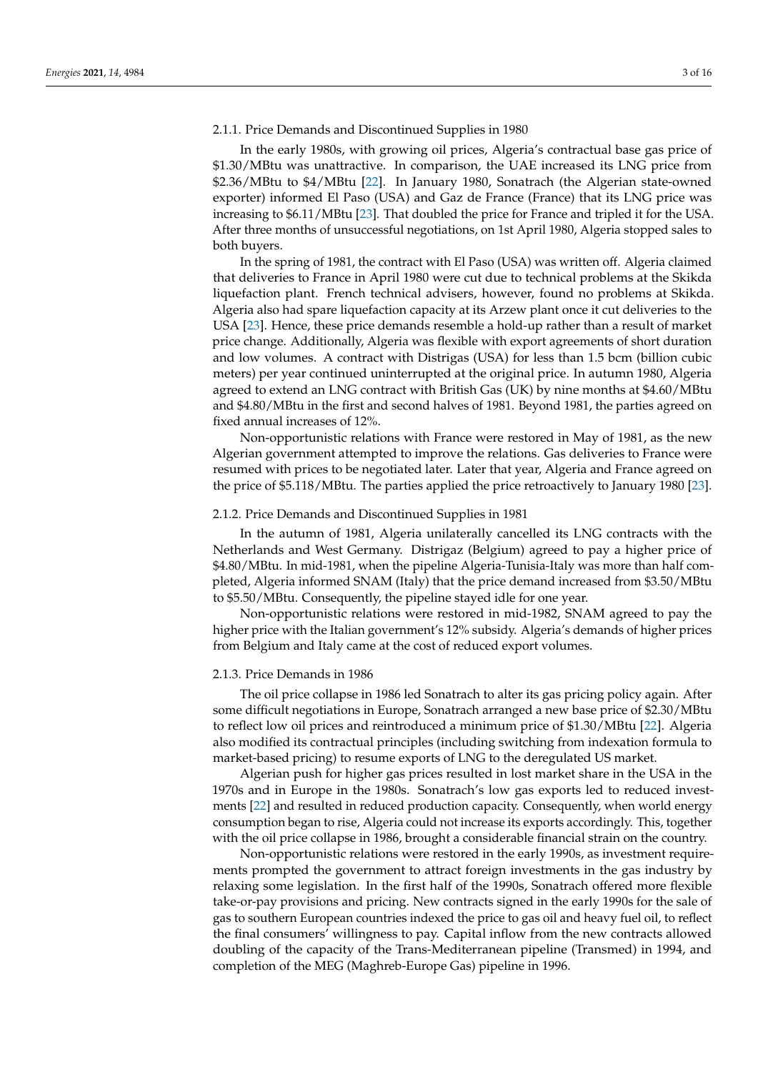## 2.1.1. Price Demands and Discontinued Supplies in 1980

In the early 1980s, with growing oil prices, Algeria's contractual base gas price of \$1.30/MBtu was unattractive. In comparison, the UAE increased its LNG price from \$2.36/MBtu to \$4/MBtu [\[22\]](#page-13-20). In January 1980, Sonatrach (the Algerian state-owned exporter) informed El Paso (USA) and Gaz de France (France) that its LNG price was increasing to \$6.11/MBtu [\[23\]](#page-13-21). That doubled the price for France and tripled it for the USA. After three months of unsuccessful negotiations, on 1st April 1980, Algeria stopped sales to both buyers.

In the spring of 1981, the contract with El Paso (USA) was written off. Algeria claimed that deliveries to France in April 1980 were cut due to technical problems at the Skikda liquefaction plant. French technical advisers, however, found no problems at Skikda. Algeria also had spare liquefaction capacity at its Arzew plant once it cut deliveries to the USA [\[23\]](#page-13-21). Hence, these price demands resemble a hold-up rather than a result of market price change. Additionally, Algeria was flexible with export agreements of short duration and low volumes. A contract with Distrigas (USA) for less than 1.5 bcm (billion cubic meters) per year continued uninterrupted at the original price. In autumn 1980, Algeria agreed to extend an LNG contract with British Gas (UK) by nine months at \$4.60/MBtu and \$4.80/MBtu in the first and second halves of 1981. Beyond 1981, the parties agreed on fixed annual increases of 12%.

Non-opportunistic relations with France were restored in May of 1981, as the new Algerian government attempted to improve the relations. Gas deliveries to France were resumed with prices to be negotiated later. Later that year, Algeria and France agreed on the price of \$5.118/MBtu. The parties applied the price retroactively to January 1980 [\[23\]](#page-13-21).

## 2.1.2. Price Demands and Discontinued Supplies in 1981

In the autumn of 1981, Algeria unilaterally cancelled its LNG contracts with the Netherlands and West Germany. Distrigaz (Belgium) agreed to pay a higher price of \$4.80/MBtu. In mid-1981, when the pipeline Algeria-Tunisia-Italy was more than half completed, Algeria informed SNAM (Italy) that the price demand increased from \$3.50/MBtu to \$5.50/MBtu. Consequently, the pipeline stayed idle for one year.

Non-opportunistic relations were restored in mid-1982, SNAM agreed to pay the higher price with the Italian government's 12% subsidy. Algeria's demands of higher prices from Belgium and Italy came at the cost of reduced export volumes.

## 2.1.3. Price Demands in 1986

The oil price collapse in 1986 led Sonatrach to alter its gas pricing policy again. After some difficult negotiations in Europe, Sonatrach arranged a new base price of \$2.30/MBtu to reflect low oil prices and reintroduced a minimum price of \$1.30/MBtu [\[22\]](#page-13-20). Algeria also modified its contractual principles (including switching from indexation formula to market-based pricing) to resume exports of LNG to the deregulated US market.

Algerian push for higher gas prices resulted in lost market share in the USA in the 1970s and in Europe in the 1980s. Sonatrach's low gas exports led to reduced investments [\[22\]](#page-13-20) and resulted in reduced production capacity. Consequently, when world energy consumption began to rise, Algeria could not increase its exports accordingly. This, together with the oil price collapse in 1986, brought a considerable financial strain on the country.

Non-opportunistic relations were restored in the early 1990s, as investment requirements prompted the government to attract foreign investments in the gas industry by relaxing some legislation. In the first half of the 1990s, Sonatrach offered more flexible take-or-pay provisions and pricing. New contracts signed in the early 1990s for the sale of gas to southern European countries indexed the price to gas oil and heavy fuel oil, to reflect the final consumers' willingness to pay. Capital inflow from the new contracts allowed doubling of the capacity of the Trans-Mediterranean pipeline (Transmed) in 1994, and completion of the MEG (Maghreb-Europe Gas) pipeline in 1996.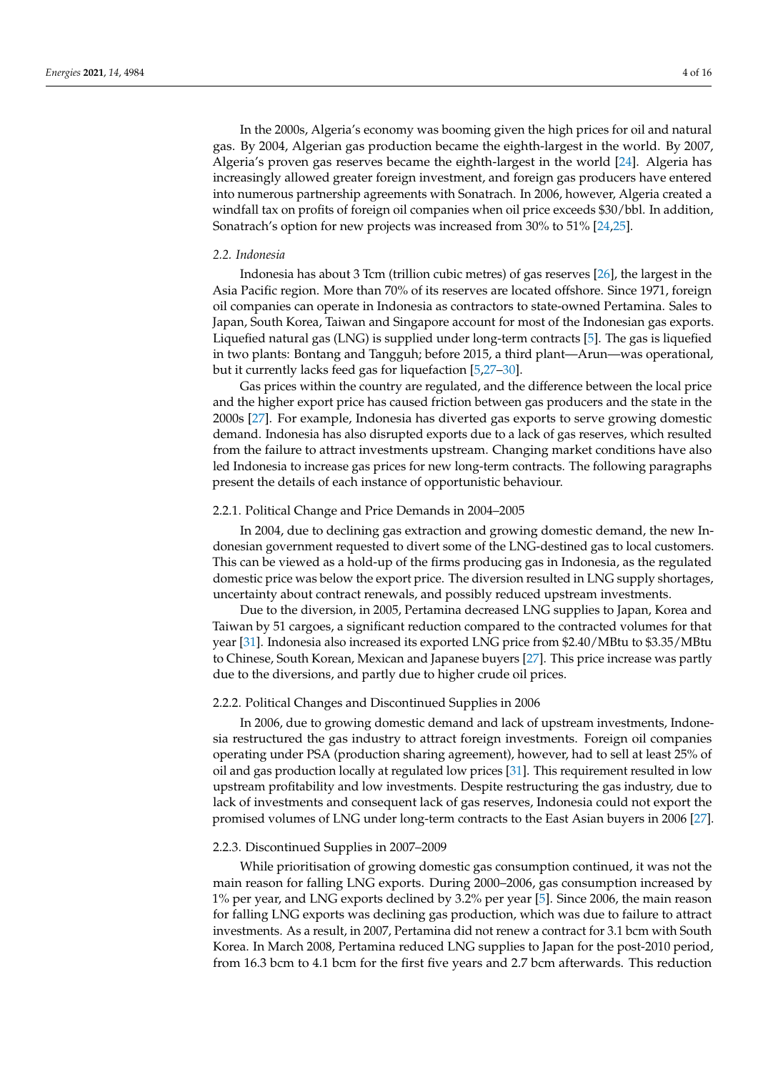In the 2000s, Algeria's economy was booming given the high prices for oil and natural gas. By 2004, Algerian gas production became the eighth-largest in the world. By 2007, Algeria's proven gas reserves became the eighth-largest in the world [\[24\]](#page-13-22). Algeria has increasingly allowed greater foreign investment, and foreign gas producers have entered into numerous partnership agreements with Sonatrach. In 2006, however, Algeria created a windfall tax on profits of foreign oil companies when oil price exceeds \$30/bbl. In addition, Sonatrach's option for new projects was increased from 30% to 51% [\[24,](#page-13-22)[25\]](#page-13-23).

### *2.2. Indonesia*

Indonesia has about 3 Tcm (trillion cubic metres) of gas reserves [\[26\]](#page-14-0), the largest in the Asia Pacific region. More than 70% of its reserves are located offshore. Since 1971, foreign oil companies can operate in Indonesia as contractors to state-owned Pertamina. Sales to Japan, South Korea, Taiwan and Singapore account for most of the Indonesian gas exports. Liquefied natural gas (LNG) is supplied under long-term contracts [\[5\]](#page-13-2). The gas is liquefied in two plants: Bontang and Tangguh; before 2015, a third plant—Arun—was operational, but it currently lacks feed gas for liquefaction [\[5](#page-13-2)[,27–](#page-14-1)[30\]](#page-14-2).

Gas prices within the country are regulated, and the difference between the local price and the higher export price has caused friction between gas producers and the state in the 2000s [\[27\]](#page-14-1). For example, Indonesia has diverted gas exports to serve growing domestic demand. Indonesia has also disrupted exports due to a lack of gas reserves, which resulted from the failure to attract investments upstream. Changing market conditions have also led Indonesia to increase gas prices for new long-term contracts. The following paragraphs present the details of each instance of opportunistic behaviour.

## 2.2.1. Political Change and Price Demands in 2004–2005

In 2004, due to declining gas extraction and growing domestic demand, the new Indonesian government requested to divert some of the LNG-destined gas to local customers. This can be viewed as a hold-up of the firms producing gas in Indonesia, as the regulated domestic price was below the export price. The diversion resulted in LNG supply shortages, uncertainty about contract renewals, and possibly reduced upstream investments.

Due to the diversion, in 2005, Pertamina decreased LNG supplies to Japan, Korea and Taiwan by 51 cargoes, a significant reduction compared to the contracted volumes for that year [\[31\]](#page-14-3). Indonesia also increased its exported LNG price from \$2.40/MBtu to \$3.35/MBtu to Chinese, South Korean, Mexican and Japanese buyers [\[27\]](#page-14-1). This price increase was partly due to the diversions, and partly due to higher crude oil prices.

## 2.2.2. Political Changes and Discontinued Supplies in 2006

In 2006, due to growing domestic demand and lack of upstream investments, Indonesia restructured the gas industry to attract foreign investments. Foreign oil companies operating under PSA (production sharing agreement), however, had to sell at least 25% of oil and gas production locally at regulated low prices [\[31\]](#page-14-3). This requirement resulted in low upstream profitability and low investments. Despite restructuring the gas industry, due to lack of investments and consequent lack of gas reserves, Indonesia could not export the promised volumes of LNG under long-term contracts to the East Asian buyers in 2006 [\[27\]](#page-14-1).

# 2.2.3. Discontinued Supplies in 2007–2009

While prioritisation of growing domestic gas consumption continued, it was not the main reason for falling LNG exports. During 2000–2006, gas consumption increased by 1% per year, and LNG exports declined by 3.2% per year [\[5\]](#page-13-2). Since 2006, the main reason for falling LNG exports was declining gas production, which was due to failure to attract investments. As a result, in 2007, Pertamina did not renew a contract for 3.1 bcm with South Korea. In March 2008, Pertamina reduced LNG supplies to Japan for the post-2010 period, from 16.3 bcm to 4.1 bcm for the first five years and 2.7 bcm afterwards. This reduction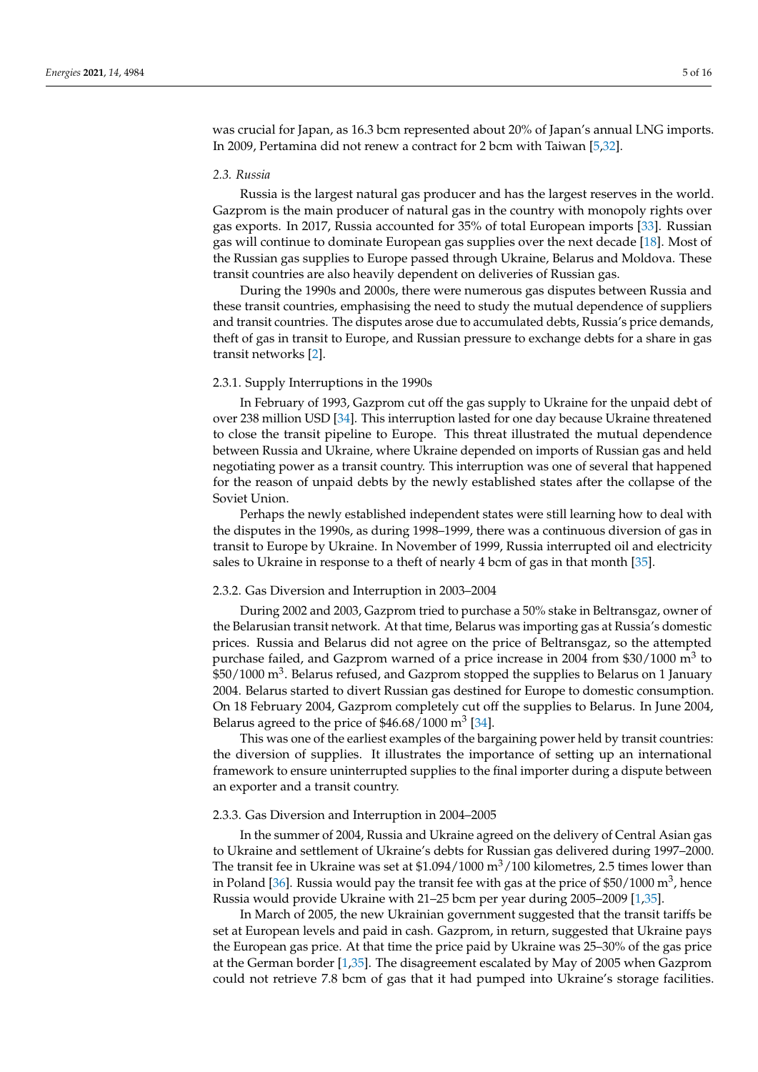was crucial for Japan, as 16.3 bcm represented about 20% of Japan's annual LNG imports. In 2009, Pertamina did not renew a contract for 2 bcm with Taiwan [\[5,](#page-13-2)[32\]](#page-14-4).

#### *2.3. Russia*

Russia is the largest natural gas producer and has the largest reserves in the world. Gazprom is the main producer of natural gas in the country with monopoly rights over gas exports. In 2017, Russia accounted for 35% of total European imports [\[33\]](#page-14-5). Russian gas will continue to dominate European gas supplies over the next decade [\[18\]](#page-13-16). Most of the Russian gas supplies to Europe passed through Ukraine, Belarus and Moldova. These transit countries are also heavily dependent on deliveries of Russian gas.

During the 1990s and 2000s, there were numerous gas disputes between Russia and these transit countries, emphasising the need to study the mutual dependence of suppliers and transit countries. The disputes arose due to accumulated debts, Russia's price demands, theft of gas in transit to Europe, and Russian pressure to exchange debts for a share in gas transit networks [\[2\]](#page-13-24).

## 2.3.1. Supply Interruptions in the 1990s

In February of 1993, Gazprom cut off the gas supply to Ukraine for the unpaid debt of over 238 million USD [\[34\]](#page-14-6). This interruption lasted for one day because Ukraine threatened to close the transit pipeline to Europe. This threat illustrated the mutual dependence between Russia and Ukraine, where Ukraine depended on imports of Russian gas and held negotiating power as a transit country. This interruption was one of several that happened for the reason of unpaid debts by the newly established states after the collapse of the Soviet Union.

Perhaps the newly established independent states were still learning how to deal with the disputes in the 1990s, as during 1998–1999, there was a continuous diversion of gas in transit to Europe by Ukraine. In November of 1999, Russia interrupted oil and electricity sales to Ukraine in response to a theft of nearly 4 bcm of gas in that month [\[35\]](#page-14-7).

## 2.3.2. Gas Diversion and Interruption in 2003–2004

During 2002 and 2003, Gazprom tried to purchase a 50% stake in Beltransgaz, owner of the Belarusian transit network. At that time, Belarus was importing gas at Russia's domestic prices. Russia and Belarus did not agree on the price of Beltransgaz, so the attempted purchase failed, and Gazprom warned of a price increase in 2004 from \$30/1000 m<sup>3</sup> to  $$50/1000 \text{ m}^3$ . Belarus refused, and Gazprom stopped the supplies to Belarus on 1 January 2004. Belarus started to divert Russian gas destined for Europe to domestic consumption. On 18 February 2004, Gazprom completely cut off the supplies to Belarus. In June 2004, Belarus agreed to the price of  $$46.68/1000 \text{ m}^3$  [\[34\]](#page-14-6).

This was one of the earliest examples of the bargaining power held by transit countries: the diversion of supplies. It illustrates the importance of setting up an international framework to ensure uninterrupted supplies to the final importer during a dispute between an exporter and a transit country.

### 2.3.3. Gas Diversion and Interruption in 2004–2005

In the summer of 2004, Russia and Ukraine agreed on the delivery of Central Asian gas to Ukraine and settlement of Ukraine's debts for Russian gas delivered during 1997–2000. The transit fee in Ukraine was set at  $$1.094/1000 \text{ m}^3/100$  kilometres, 2.5 times lower than in Poland [\[36\]](#page-14-8). Russia would pay the transit fee with gas at the price of \$50/1000  $\mathrm{m}^{3}$ , hence Russia would provide Ukraine with 21–25 bcm per year during 2005–2009 [\[1](#page-13-0)[,35\]](#page-14-7).

In March of 2005, the new Ukrainian government suggested that the transit tariffs be set at European levels and paid in cash. Gazprom, in return, suggested that Ukraine pays the European gas price. At that time the price paid by Ukraine was 25–30% of the gas price at the German border [\[1,](#page-13-0)[35\]](#page-14-7). The disagreement escalated by May of 2005 when Gazprom could not retrieve 7.8 bcm of gas that it had pumped into Ukraine's storage facilities.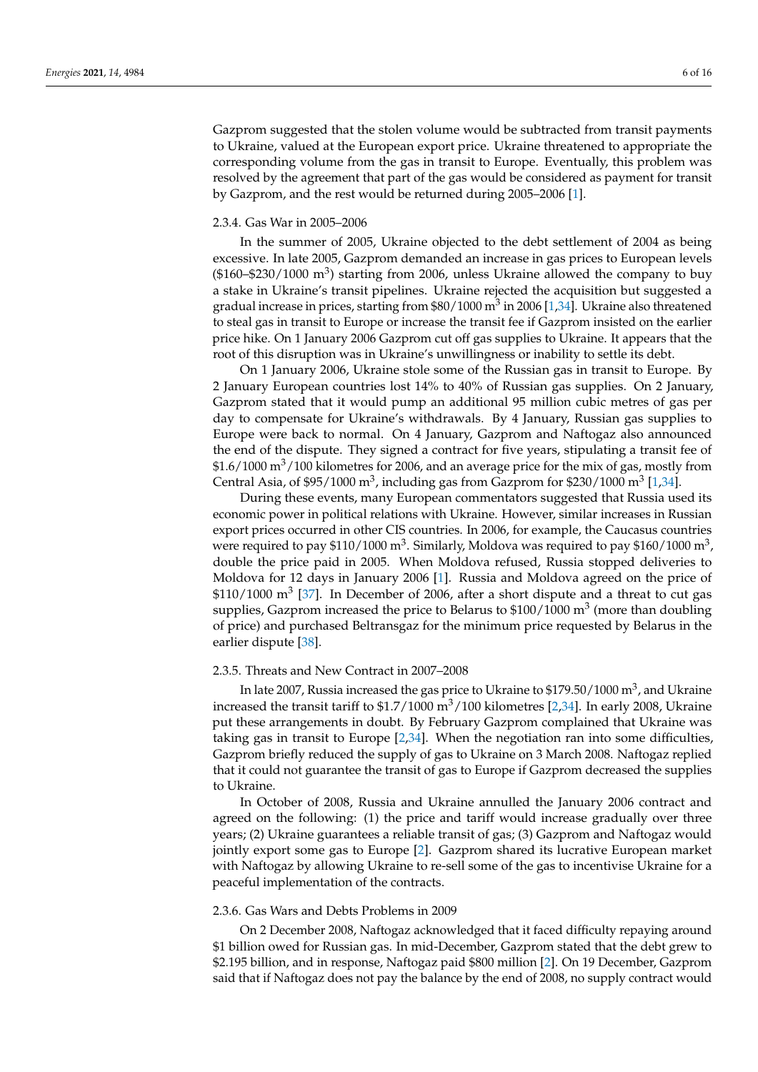Gazprom suggested that the stolen volume would be subtracted from transit payments to Ukraine, valued at the European export price. Ukraine threatened to appropriate the corresponding volume from the gas in transit to Europe. Eventually, this problem was resolved by the agreement that part of the gas would be considered as payment for transit by Gazprom, and the rest would be returned during 2005–2006 [\[1\]](#page-13-0).

## 2.3.4. Gas War in 2005–2006

In the summer of 2005, Ukraine objected to the debt settlement of 2004 as being excessive. In late 2005, Gazprom demanded an increase in gas prices to European levels  $($160-\$230/1000 \text{ m}^3$)$  starting from 2006, unless Ukraine allowed the company to buy a stake in Ukraine's transit pipelines. Ukraine rejected the acquisition but suggested a gradual increase in prices, starting from  $\$80/1000$  m $^3$  in 2006 [\[1](#page-13-0)[,34\]](#page-14-6). Ukraine also threatened to steal gas in transit to Europe or increase the transit fee if Gazprom insisted on the earlier price hike. On 1 January 2006 Gazprom cut off gas supplies to Ukraine. It appears that the root of this disruption was in Ukraine's unwillingness or inability to settle its debt.

On 1 January 2006, Ukraine stole some of the Russian gas in transit to Europe. By 2 January European countries lost 14% to 40% of Russian gas supplies. On 2 January, Gazprom stated that it would pump an additional 95 million cubic metres of gas per day to compensate for Ukraine's withdrawals. By 4 January, Russian gas supplies to Europe were back to normal. On 4 January, Gazprom and Naftogaz also announced the end of the dispute. They signed a contract for five years, stipulating a transit fee of  $$1.6/1000 \text{ m}^3/100$  kilometres for 2006, and an average price for the mix of gas, mostly from Central Asia, of \$95/1000 m<sup>3</sup>, including gas from Gazprom for \$230/1000 m<sup>3</sup> [\[1](#page-13-0)[,34\]](#page-14-6).

During these events, many European commentators suggested that Russia used its economic power in political relations with Ukraine. However, similar increases in Russian export prices occurred in other CIS countries. In 2006, for example, the Caucasus countries were required to pay \$110/1000  $\mathrm{m}^{3}$ . Similarly, Moldova was required to pay \$160/1000  $\mathrm{m}^{3}$ , double the price paid in 2005. When Moldova refused, Russia stopped deliveries to Moldova for 12 days in January 2006 [\[1\]](#page-13-0). Russia and Moldova agreed on the price of  $$110/1000$  m<sup>3</sup> [\[37\]](#page-14-9). In December of 2006, after a short dispute and a threat to cut gas supplies, Gazprom increased the price to Belarus to  $$100/1000 \text{ m}^3$  (more than doubling of price) and purchased Beltransgaz for the minimum price requested by Belarus in the earlier dispute [\[38\]](#page-14-10).

#### 2.3.5. Threats and New Contract in 2007–2008

In late 2007, Russia increased the gas price to Ukraine to \$179.50/1000  $\mathrm{m}^{3}$ , and Ukraine increased the transit tariff to  $$1.7/1000 \text{ m}^3/100$  kilometres [\[2,](#page-13-24)[34\]](#page-14-6). In early 2008, Ukraine put these arrangements in doubt. By February Gazprom complained that Ukraine was taking gas in transit to Europe [\[2](#page-13-24)[,34\]](#page-14-6). When the negotiation ran into some difficulties, Gazprom briefly reduced the supply of gas to Ukraine on 3 March 2008. Naftogaz replied that it could not guarantee the transit of gas to Europe if Gazprom decreased the supplies to Ukraine.

In October of 2008, Russia and Ukraine annulled the January 2006 contract and agreed on the following: (1) the price and tariff would increase gradually over three years; (2) Ukraine guarantees a reliable transit of gas; (3) Gazprom and Naftogaz would jointly export some gas to Europe [\[2\]](#page-13-24). Gazprom shared its lucrative European market with Naftogaz by allowing Ukraine to re-sell some of the gas to incentivise Ukraine for a peaceful implementation of the contracts.

## 2.3.6. Gas Wars and Debts Problems in 2009

On 2 December 2008, Naftogaz acknowledged that it faced difficulty repaying around \$1 billion owed for Russian gas. In mid-December, Gazprom stated that the debt grew to \$2.195 billion, and in response, Naftogaz paid \$800 million [\[2\]](#page-13-24). On 19 December, Gazprom said that if Naftogaz does not pay the balance by the end of 2008, no supply contract would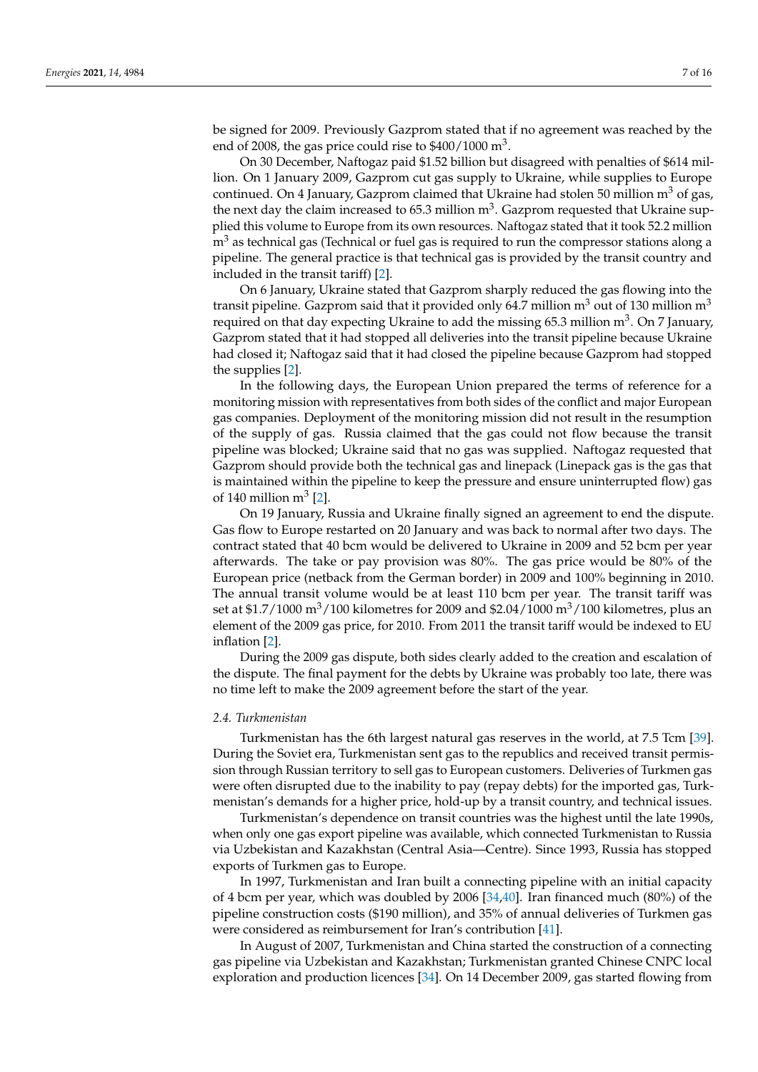be signed for 2009. Previously Gazprom stated that if no agreement was reached by the end of 2008, the gas price could rise to  $$400/1000 \text{ m}^3$ .

On 30 December, Naftogaz paid \$1.52 billion but disagreed with penalties of \$614 million. On 1 January 2009, Gazprom cut gas supply to Ukraine, while supplies to Europe continued. On 4 January, Gazprom claimed that Ukraine had stolen 50 million  $m<sup>3</sup>$  of gas, the next day the claim increased to 65.3 million  $m^3$ . Gazprom requested that Ukraine supplied this volume to Europe from its own resources. Naftogaz stated that it took 52.2 million  $m<sup>3</sup>$  as technical gas (Technical or fuel gas is required to run the compressor stations along a pipeline. The general practice is that technical gas is provided by the transit country and included in the transit tariff) [\[2\]](#page-13-24).

On 6 January, Ukraine stated that Gazprom sharply reduced the gas flowing into the transit pipeline. Gazprom said that it provided only 64.7 million  $m<sup>3</sup>$  out of 130 million  $m<sup>3</sup>$ required on that day expecting Ukraine to add the missing 65.3 million m<sup>3</sup>. On 7 January, Gazprom stated that it had stopped all deliveries into the transit pipeline because Ukraine had closed it; Naftogaz said that it had closed the pipeline because Gazprom had stopped the supplies [\[2\]](#page-13-24).

In the following days, the European Union prepared the terms of reference for a monitoring mission with representatives from both sides of the conflict and major European gas companies. Deployment of the monitoring mission did not result in the resumption of the supply of gas. Russia claimed that the gas could not flow because the transit pipeline was blocked; Ukraine said that no gas was supplied. Naftogaz requested that Gazprom should provide both the technical gas and linepack (Linepack gas is the gas that is maintained within the pipeline to keep the pressure and ensure uninterrupted flow) gas of 140 million  $m^3$  [\[2\]](#page-13-24).

On 19 January, Russia and Ukraine finally signed an agreement to end the dispute. Gas flow to Europe restarted on 20 January and was back to normal after two days. The contract stated that 40 bcm would be delivered to Ukraine in 2009 and 52 bcm per year afterwards. The take or pay provision was 80%. The gas price would be 80% of the European price (netback from the German border) in 2009 and 100% beginning in 2010. The annual transit volume would be at least 110 bcm per year. The transit tariff was set at \$1.7/1000 m<sup>3</sup>/100 kilometres for 2009 and \$2.04/1000 m<sup>3</sup>/100 kilometres, plus an element of the 2009 gas price, for 2010. From 2011 the transit tariff would be indexed to EU inflation [\[2\]](#page-13-24).

During the 2009 gas dispute, both sides clearly added to the creation and escalation of the dispute. The final payment for the debts by Ukraine was probably too late, there was no time left to make the 2009 agreement before the start of the year.

## *2.4. Turkmenistan*

Turkmenistan has the 6th largest natural gas reserves in the world, at 7.5 Tcm [\[39\]](#page-14-11). During the Soviet era, Turkmenistan sent gas to the republics and received transit permission through Russian territory to sell gas to European customers. Deliveries of Turkmen gas were often disrupted due to the inability to pay (repay debts) for the imported gas, Turkmenistan's demands for a higher price, hold-up by a transit country, and technical issues.

Turkmenistan's dependence on transit countries was the highest until the late 1990s, when only one gas export pipeline was available, which connected Turkmenistan to Russia via Uzbekistan and Kazakhstan (Central Asia—Centre). Since 1993, Russia has stopped exports of Turkmen gas to Europe.

In 1997, Turkmenistan and Iran built a connecting pipeline with an initial capacity of 4 bcm per year, which was doubled by 2006 [\[34](#page-14-6)[,40\]](#page-14-12). Iran financed much (80%) of the pipeline construction costs (\$190 million), and 35% of annual deliveries of Turkmen gas were considered as reimbursement for Iran's contribution [\[41\]](#page-14-13).

In August of 2007, Turkmenistan and China started the construction of a connecting gas pipeline via Uzbekistan and Kazakhstan; Turkmenistan granted Chinese CNPC local exploration and production licences [\[34\]](#page-14-6). On 14 December 2009, gas started flowing from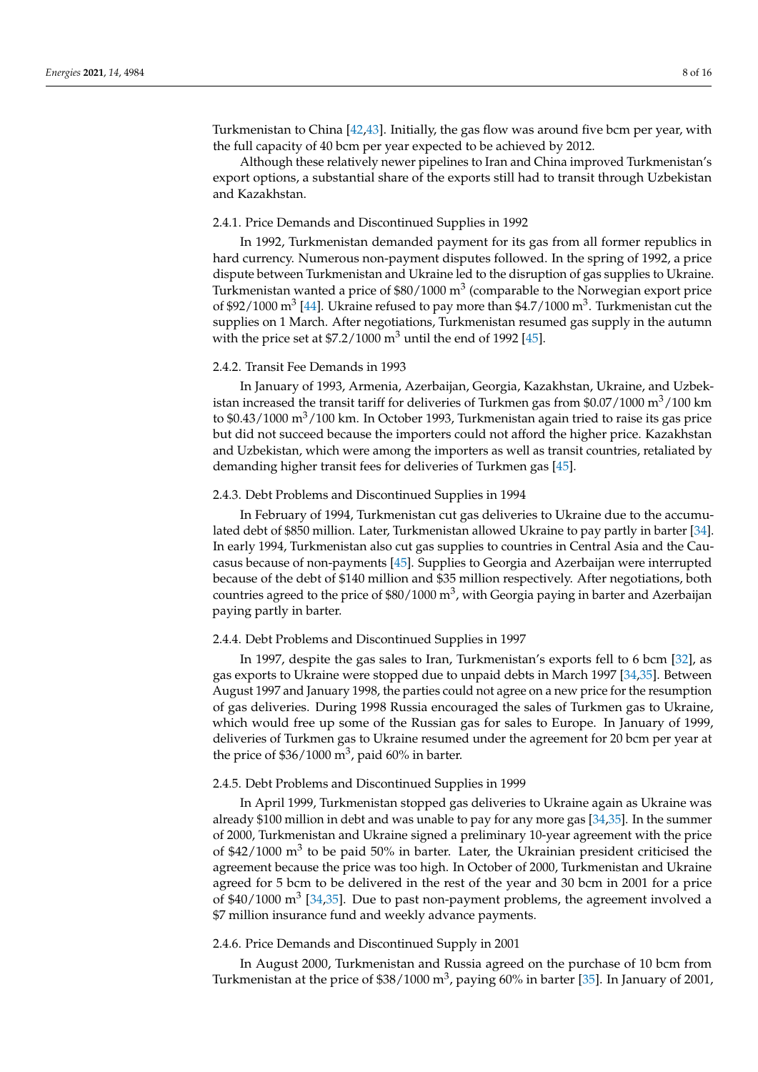Turkmenistan to China [\[42](#page-14-14)[,43\]](#page-14-15). Initially, the gas flow was around five bcm per year, with the full capacity of 40 bcm per year expected to be achieved by 2012.

Although these relatively newer pipelines to Iran and China improved Turkmenistan's export options, a substantial share of the exports still had to transit through Uzbekistan and Kazakhstan.

## 2.4.1. Price Demands and Discontinued Supplies in 1992

In 1992, Turkmenistan demanded payment for its gas from all former republics in hard currency. Numerous non-payment disputes followed. In the spring of 1992, a price dispute between Turkmenistan and Ukraine led to the disruption of gas supplies to Ukraine. Turkmenistan wanted a price of \$80/1000  $m^3$  (comparable to the Norwegian export price of \$92/1000 m<sup>3</sup> [\[44\]](#page-14-16). Ukraine refused to pay more than \$4.7/1000 m<sup>3</sup>. Turkmenistan cut the supplies on 1 March. After negotiations, Turkmenistan resumed gas supply in the autumn with the price set at  $$7.2/1000 \text{ m}^3$  until the end of 1992 [\[45\]](#page-14-17).

## 2.4.2. Transit Fee Demands in 1993

In January of 1993, Armenia, Azerbaijan, Georgia, Kazakhstan, Ukraine, and Uzbekistan increased the transit tariff for deliveries of Turkmen gas from  $\frac{60.07}{1000}$  m<sup>3</sup>/100 km to  $$0.43/1000 \text{ m}^3/100 \text{ km}$ . In October 1993, Turkmenistan again tried to raise its gas price but did not succeed because the importers could not afford the higher price. Kazakhstan and Uzbekistan, which were among the importers as well as transit countries, retaliated by demanding higher transit fees for deliveries of Turkmen gas [\[45\]](#page-14-17).

#### 2.4.3. Debt Problems and Discontinued Supplies in 1994

In February of 1994, Turkmenistan cut gas deliveries to Ukraine due to the accumulated debt of \$850 million. Later, Turkmenistan allowed Ukraine to pay partly in barter [\[34\]](#page-14-6). In early 1994, Turkmenistan also cut gas supplies to countries in Central Asia and the Caucasus because of non-payments [\[45\]](#page-14-17). Supplies to Georgia and Azerbaijan were interrupted because of the debt of \$140 million and \$35 million respectively. After negotiations, both countries agreed to the price of  $$80/1000 \text{ m}^3$ , with Georgia paying in barter and Azerbaijan paying partly in barter.

## 2.4.4. Debt Problems and Discontinued Supplies in 1997

In 1997, despite the gas sales to Iran, Turkmenistan's exports fell to 6 bcm [\[32\]](#page-14-4), as gas exports to Ukraine were stopped due to unpaid debts in March 1997 [\[34,](#page-14-6)[35\]](#page-14-7). Between August 1997 and January 1998, the parties could not agree on a new price for the resumption of gas deliveries. During 1998 Russia encouraged the sales of Turkmen gas to Ukraine, which would free up some of the Russian gas for sales to Europe. In January of 1999, deliveries of Turkmen gas to Ukraine resumed under the agreement for 20 bcm per year at the price of  $$36/1000 \text{ m}^3$ , paid 60% in barter.

#### 2.4.5. Debt Problems and Discontinued Supplies in 1999

In April 1999, Turkmenistan stopped gas deliveries to Ukraine again as Ukraine was already \$100 million in debt and was unable to pay for any more gas [\[34,](#page-14-6)[35\]](#page-14-7). In the summer of 2000, Turkmenistan and Ukraine signed a preliminary 10-year agreement with the price of \$42/1000  $\mathrm{m}^3$  to be paid 50% in barter. Later, the Ukrainian president criticised the agreement because the price was too high. In October of 2000, Turkmenistan and Ukraine agreed for 5 bcm to be delivered in the rest of the year and 30 bcm in 2001 for a price of \$40/1000  $\text{m}^3$  [\[34,](#page-14-6)[35\]](#page-14-7). Due to past non-payment problems, the agreement involved a \$7 million insurance fund and weekly advance payments.

# 2.4.6. Price Demands and Discontinued Supply in 2001

In August 2000, Turkmenistan and Russia agreed on the purchase of 10 bcm from Turkmenistan at the price of \$38/1000 m<sup>3</sup>, paying 60% in barter [\[35\]](#page-14-7). In January of 2001,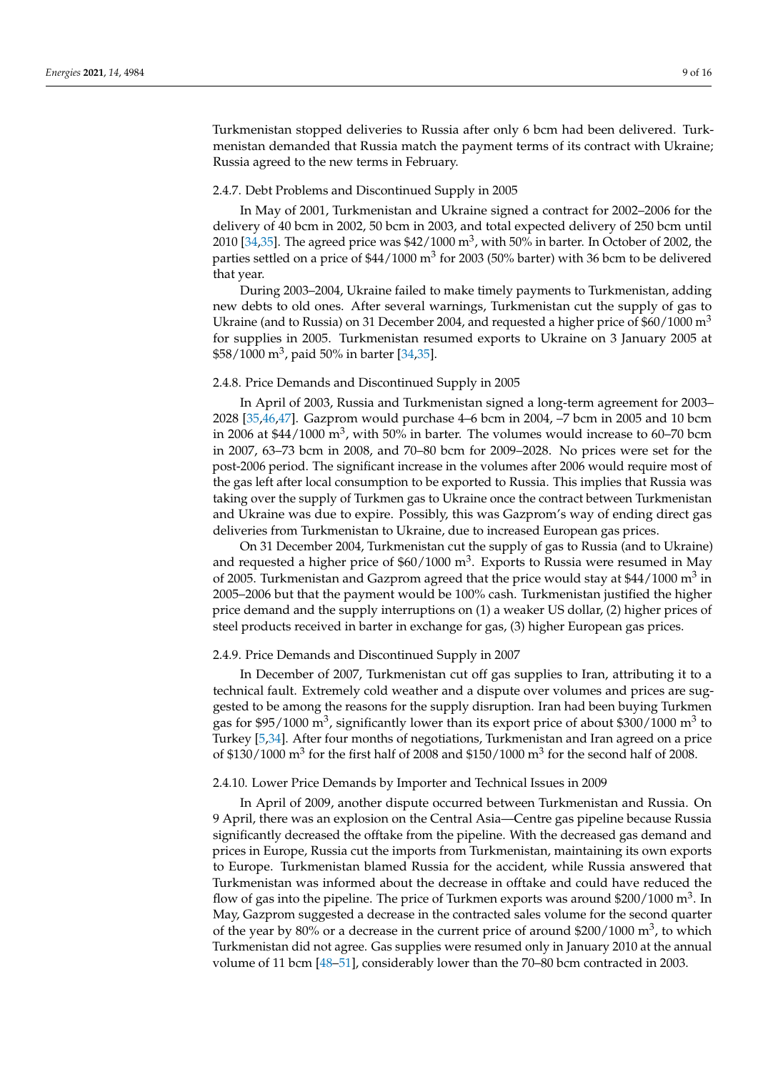Turkmenistan stopped deliveries to Russia after only 6 bcm had been delivered. Turkmenistan demanded that Russia match the payment terms of its contract with Ukraine; Russia agreed to the new terms in February.

#### 2.4.7. Debt Problems and Discontinued Supply in 2005

In May of 2001, Turkmenistan and Ukraine signed a contract for 2002–2006 for the delivery of 40 bcm in 2002, 50 bcm in 2003, and total expected delivery of 250 bcm until 2010 [\[34](#page-14-6)[,35\]](#page-14-7). The agreed price was \$42/1000  $\mathrm{m}^{3}$ , with 50% in barter. In October of 2002, the parties settled on a price of  $$44/1000 \text{ m}^3$  for 2003 (50% barter) with 36 bcm to be delivered that year.

During 2003–2004, Ukraine failed to make timely payments to Turkmenistan, adding new debts to old ones. After several warnings, Turkmenistan cut the supply of gas to Ukraine (and to Russia) on 31 December 2004, and requested a higher price of  $$60/1000 \text{ m}^3$ for supplies in 2005. Turkmenistan resumed exports to Ukraine on 3 January 2005 at \$58/1000 m<sup>3</sup> , paid 50% in barter [\[34](#page-14-6)[,35\]](#page-14-7).

## 2.4.8. Price Demands and Discontinued Supply in 2005

In April of 2003, Russia and Turkmenistan signed a long-term agreement for 2003– 2028 [\[35](#page-14-7)[,46](#page-14-18)[,47\]](#page-14-19). Gazprom would purchase 4–6 bcm in 2004, –7 bcm in 2005 and 10 bcm in 2006 at \$44/1000  $m^3$ , with 50% in barter. The volumes would increase to 60–70 bcm in 2007, 63–73 bcm in 2008, and 70–80 bcm for 2009–2028. No prices were set for the post-2006 period. The significant increase in the volumes after 2006 would require most of the gas left after local consumption to be exported to Russia. This implies that Russia was taking over the supply of Turkmen gas to Ukraine once the contract between Turkmenistan and Ukraine was due to expire. Possibly, this was Gazprom's way of ending direct gas deliveries from Turkmenistan to Ukraine, due to increased European gas prices.

On 31 December 2004, Turkmenistan cut the supply of gas to Russia (and to Ukraine) and requested a higher price of  $$60/1000 \text{ m}^3$ . Exports to Russia were resumed in May of 2005. Turkmenistan and Gazprom agreed that the price would stay at \$44/1000  $\text{m}^{3}$  in 2005–2006 but that the payment would be 100% cash. Turkmenistan justified the higher price demand and the supply interruptions on (1) a weaker US dollar, (2) higher prices of steel products received in barter in exchange for gas, (3) higher European gas prices.

## 2.4.9. Price Demands and Discontinued Supply in 2007

In December of 2007, Turkmenistan cut off gas supplies to Iran, attributing it to a technical fault. Extremely cold weather and a dispute over volumes and prices are suggested to be among the reasons for the supply disruption. Iran had been buying Turkmen gas for \$95/1000 m<sup>3</sup>, significantly lower than its export price of about \$300/1000 m<sup>3</sup> to Turkey [\[5](#page-13-2)[,34\]](#page-14-6). After four months of negotiations, Turkmenistan and Iran agreed on a price of \$130/1000  $\text{m}^3$  for the first half of 2008 and \$150/1000  $\text{m}^3$  for the second half of 2008.

#### 2.4.10. Lower Price Demands by Importer and Technical Issues in 2009

In April of 2009, another dispute occurred between Turkmenistan and Russia. On 9 April, there was an explosion on the Central Asia—Centre gas pipeline because Russia significantly decreased the offtake from the pipeline. With the decreased gas demand and prices in Europe, Russia cut the imports from Turkmenistan, maintaining its own exports to Europe. Turkmenistan blamed Russia for the accident, while Russia answered that Turkmenistan was informed about the decrease in offtake and could have reduced the flow of gas into the pipeline. The price of Turkmen exports was around  $$200/1000 \text{ m}^3$ . In May, Gazprom suggested a decrease in the contracted sales volume for the second quarter of the year by 80% or a decrease in the current price of around \$200/1000  $m^3$ , to which Turkmenistan did not agree. Gas supplies were resumed only in January 2010 at the annual volume of 11 bcm [\[48](#page-14-20)[–51\]](#page-14-21), considerably lower than the 70–80 bcm contracted in 2003.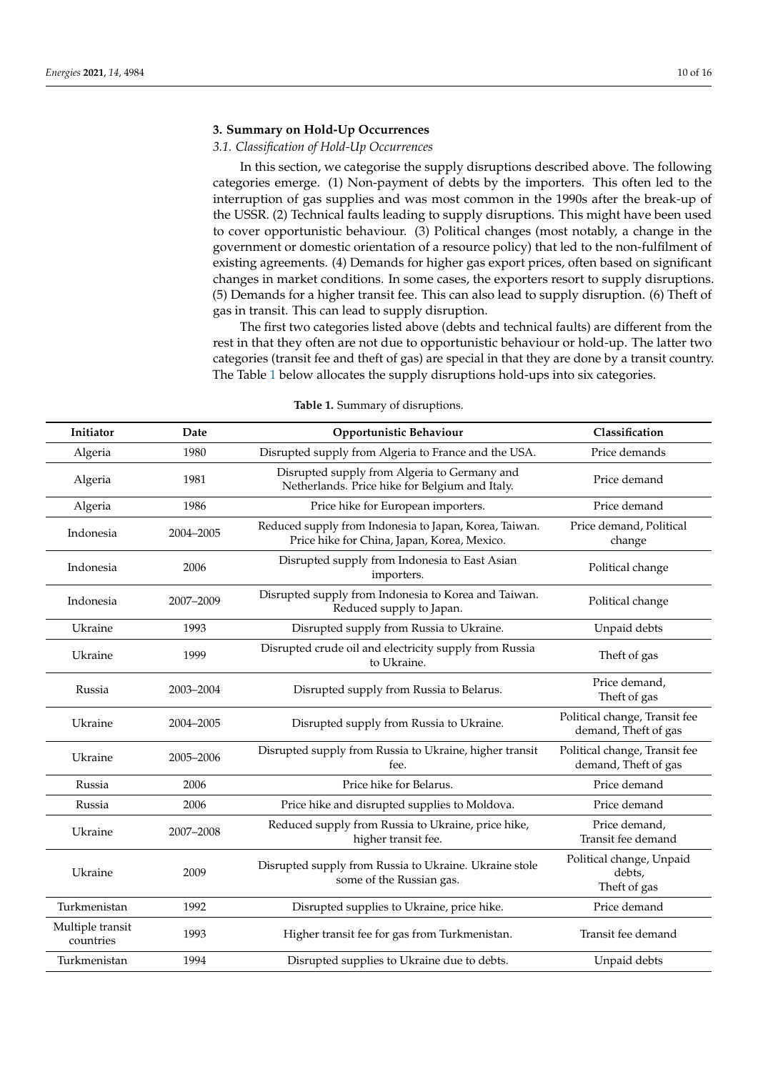## **3. Summary on Hold-Up Occurrences**

# *3.1. Classification of Hold-Up Occurrences*

In this section, we categorise the supply disruptions described above. The following categories emerge. (1) Non-payment of debts by the importers. This often led to the interruption of gas supplies and was most common in the 1990s after the break-up of the USSR. (2) Technical faults leading to supply disruptions. This might have been used to cover opportunistic behaviour. (3) Political changes (most notably, a change in the government or domestic orientation of a resource policy) that led to the non-fulfilment of existing agreements. (4) Demands for higher gas export prices, often based on significant changes in market conditions. In some cases, the exporters resort to supply disruptions. (5) Demands for a higher transit fee. This can also lead to supply disruption. (6) Theft of gas in transit. This can lead to supply disruption.

The first two categories listed above (debts and technical faults) are different from the rest in that they often are not due to opportunistic behaviour or hold-up. The latter two categories (transit fee and theft of gas) are special in that they are done by a transit country. The Table [1](#page-10-0) below allocates the supply disruptions hold-ups into six categories.

| Initiator                     | Date      | Opportunistic Behaviour                                                                               | Classification                                        |
|-------------------------------|-----------|-------------------------------------------------------------------------------------------------------|-------------------------------------------------------|
| Algeria                       | 1980      | Disrupted supply from Algeria to France and the USA.                                                  | Price demands                                         |
| Algeria                       | 1981      | Disrupted supply from Algeria to Germany and<br>Netherlands. Price hike for Belgium and Italy.        | Price demand                                          |
| Algeria                       | 1986      | Price hike for European importers.                                                                    | Price demand                                          |
| Indonesia                     | 2004-2005 | Reduced supply from Indonesia to Japan, Korea, Taiwan.<br>Price hike for China, Japan, Korea, Mexico. | Price demand, Political<br>change                     |
| Indonesia                     | 2006      | Disrupted supply from Indonesia to East Asian<br>importers.                                           | Political change                                      |
| Indonesia                     | 2007-2009 | Disrupted supply from Indonesia to Korea and Taiwan.<br>Reduced supply to Japan.                      | Political change                                      |
| Ukraine                       | 1993      | Disrupted supply from Russia to Ukraine.                                                              | Unpaid debts                                          |
| Ukraine                       | 1999      | Disrupted crude oil and electricity supply from Russia<br>to Ukraine.                                 | Theft of gas                                          |
| Russia                        | 2003-2004 | Disrupted supply from Russia to Belarus.                                                              | Price demand,<br>Theft of gas                         |
| Ukraine                       | 2004-2005 | Disrupted supply from Russia to Ukraine.                                                              | Political change, Transit fee<br>demand, Theft of gas |
| Ukraine                       | 2005-2006 | Disrupted supply from Russia to Ukraine, higher transit<br>fee.                                       | Political change, Transit fee<br>demand, Theft of gas |
| Russia                        | 2006      | Price hike for Belarus.                                                                               | Price demand                                          |
| Russia                        | 2006      | Price hike and disrupted supplies to Moldova.                                                         | Price demand                                          |
| Ukraine                       | 2007-2008 | Reduced supply from Russia to Ukraine, price hike,<br>higher transit fee.                             | Price demand,<br>Transit fee demand                   |
| Ukraine                       | 2009      | Disrupted supply from Russia to Ukraine. Ukraine stole<br>some of the Russian gas.                    | Political change, Unpaid<br>debts,<br>Theft of gas    |
| Turkmenistan                  | 1992      | Disrupted supplies to Ukraine, price hike.                                                            | Price demand                                          |
| Multiple transit<br>countries | 1993      | Higher transit fee for gas from Turkmenistan.                                                         | Transit fee demand                                    |
| Turkmenistan                  | 1994      | Disrupted supplies to Ukraine due to debts.                                                           | Unpaid debts                                          |

**Table 1.** Summary of disruptions.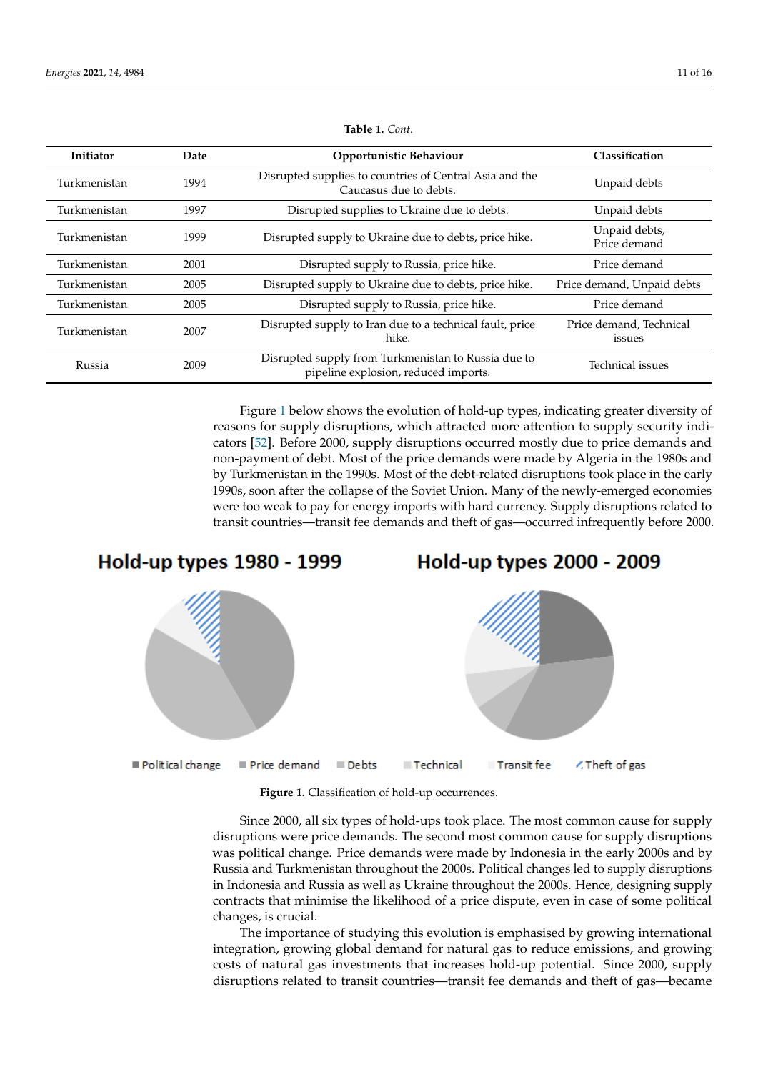<span id="page-10-0"></span>

| Initiator    | Date | Opportunistic Behaviour                                                                     | Classification                    |
|--------------|------|---------------------------------------------------------------------------------------------|-----------------------------------|
| Turkmenistan | 1994 | Disrupted supplies to countries of Central Asia and the<br>Caucasus due to debts.           | Unpaid debts                      |
| Turkmenistan | 1997 | Disrupted supplies to Ukraine due to debts.                                                 | Unpaid debts                      |
| Turkmenistan | 1999 | Disrupted supply to Ukraine due to debts, price hike.                                       | Unpaid debts,<br>Price demand     |
| Turkmenistan | 2001 | Disrupted supply to Russia, price hike.                                                     | Price demand                      |
| Turkmenistan | 2005 | Disrupted supply to Ukraine due to debts, price hike.                                       | Price demand, Unpaid debts        |
| Turkmenistan | 2005 | Disrupted supply to Russia, price hike.                                                     | Price demand                      |
| Turkmenistan | 2007 | Disrupted supply to Iran due to a technical fault, price<br>hike.                           | Price demand, Technical<br>issues |
| Russia       | 2009 | Disrupted supply from Turkmenistan to Russia due to<br>pipeline explosion, reduced imports. | <b>Technical issues</b>           |

**Table 1.** *Cont.*

Figure [1](#page-10-1) below shows the evolution of hold-up types, indicating greater diversity of reasons for supply disruptions, which attracted more attention to supply security indicators [\[52\]](#page-14-22). Before 2000, supply disruptions occurred mostly due to price demands and non-payment of debt. Most of the price demands were made by Algeria in the 1980s and by Turkmenistan in the 1990s. Most of the debt-related disruptions took place in the early 1990s, soon after the collapse of the Soviet Union. Many of the newly-emerged economies were too weak to pay for energy imports with hard currency. Supply disruptions related to transit countries—transit fee demands and theft of gas—occurred infrequently before 2000.

<span id="page-10-1"></span>

**Figure 1.** Classification of hold-up occurrences.

Since 2000, all six types of hold-ups took place. The most common cause for supply disruptions were price demands. The second most common cause for supply disruptions where  $\overline{\mathbf{r}}$ was political change. Price demands were made by Indonesia in the early 2000s and by  $\Gamma$ Russia and Turkmenistan throughout the 2000s. Political changes led to supply disruptions<br>. in Indonesia and Russia as well as Ukraine throughout the 2000s. Hence, designing supply<br>in Indonesia and Russia as well as Ukraine throughout the 2000s. Hence, designing supply contracts that minimise the likelihood of a price dispute, even in case of some political<br>
. changes, is crucial.

more frequent since the year 2000. However, the year 2000 contained below the literature does not contained a contained a contained a considerable was determined as a considerable was determined as a considerable was deter The importance of studying this evolution is emphasised by growing international<br>the importance of studying this evolution is emphasised by growing international exploring supply disruptions relations relations relations relations relationships and growing costs of natural gas investments that increases hold-up potential. Since 2000, supply *3.2. Hold-Up Mitigation*  disruptions related to transit countries—transit fee demands and theft of gas—becameintegration, growing global demand for natural gas to reduce emissions, and growing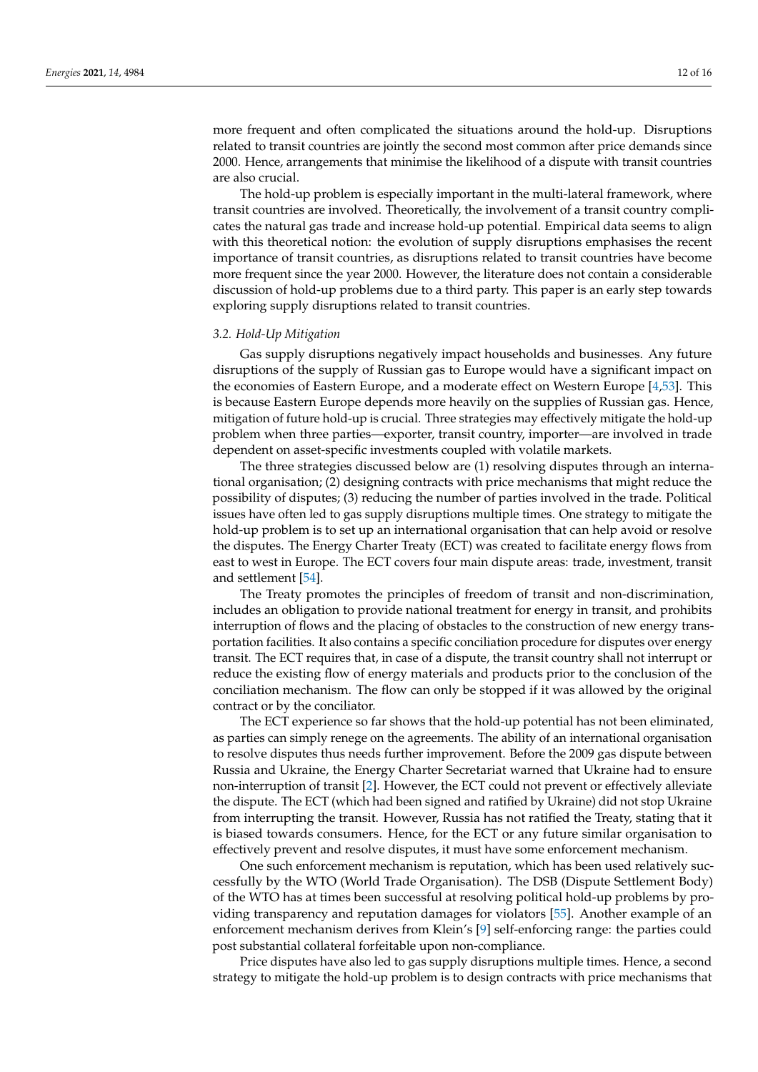more frequent and often complicated the situations around the hold-up. Disruptions related to transit countries are jointly the second most common after price demands since 2000. Hence, arrangements that minimise the likelihood of a dispute with transit countries are also crucial.

The hold-up problem is especially important in the multi-lateral framework, where transit countries are involved. Theoretically, the involvement of a transit country complicates the natural gas trade and increase hold-up potential. Empirical data seems to align with this theoretical notion: the evolution of supply disruptions emphasises the recent importance of transit countries, as disruptions related to transit countries have become more frequent since the year 2000. However, the literature does not contain a considerable discussion of hold-up problems due to a third party. This paper is an early step towards exploring supply disruptions related to transit countries.

#### *3.2. Hold-Up Mitigation*

Gas supply disruptions negatively impact households and businesses. Any future disruptions of the supply of Russian gas to Europe would have a significant impact on the economies of Eastern Europe, and a moderate effect on Western Europe [\[4,](#page-13-1)[53\]](#page-14-23). This is because Eastern Europe depends more heavily on the supplies of Russian gas. Hence, mitigation of future hold-up is crucial. Three strategies may effectively mitigate the hold-up problem when three parties—exporter, transit country, importer—are involved in trade dependent on asset-specific investments coupled with volatile markets.

The three strategies discussed below are (1) resolving disputes through an international organisation; (2) designing contracts with price mechanisms that might reduce the possibility of disputes; (3) reducing the number of parties involved in the trade. Political issues have often led to gas supply disruptions multiple times. One strategy to mitigate the hold-up problem is to set up an international organisation that can help avoid or resolve the disputes. The Energy Charter Treaty (ECT) was created to facilitate energy flows from east to west in Europe. The ECT covers four main dispute areas: trade, investment, transit and settlement [\[54\]](#page-14-24).

The Treaty promotes the principles of freedom of transit and non-discrimination, includes an obligation to provide national treatment for energy in transit, and prohibits interruption of flows and the placing of obstacles to the construction of new energy transportation facilities. It also contains a specific conciliation procedure for disputes over energy transit. The ECT requires that, in case of a dispute, the transit country shall not interrupt or reduce the existing flow of energy materials and products prior to the conclusion of the conciliation mechanism. The flow can only be stopped if it was allowed by the original contract or by the conciliator.

The ECT experience so far shows that the hold-up potential has not been eliminated, as parties can simply renege on the agreements. The ability of an international organisation to resolve disputes thus needs further improvement. Before the 2009 gas dispute between Russia and Ukraine, the Energy Charter Secretariat warned that Ukraine had to ensure non-interruption of transit [\[2\]](#page-13-24). However, the ECT could not prevent or effectively alleviate the dispute. The ECT (which had been signed and ratified by Ukraine) did not stop Ukraine from interrupting the transit. However, Russia has not ratified the Treaty, stating that it is biased towards consumers. Hence, for the ECT or any future similar organisation to effectively prevent and resolve disputes, it must have some enforcement mechanism.

One such enforcement mechanism is reputation, which has been used relatively successfully by the WTO (World Trade Organisation). The DSB (Dispute Settlement Body) of the WTO has at times been successful at resolving political hold-up problems by providing transparency and reputation damages for violators [\[55\]](#page-14-25). Another example of an enforcement mechanism derives from Klein's [\[9\]](#page-13-6) self-enforcing range: the parties could post substantial collateral forfeitable upon non-compliance.

Price disputes have also led to gas supply disruptions multiple times. Hence, a second strategy to mitigate the hold-up problem is to design contracts with price mechanisms that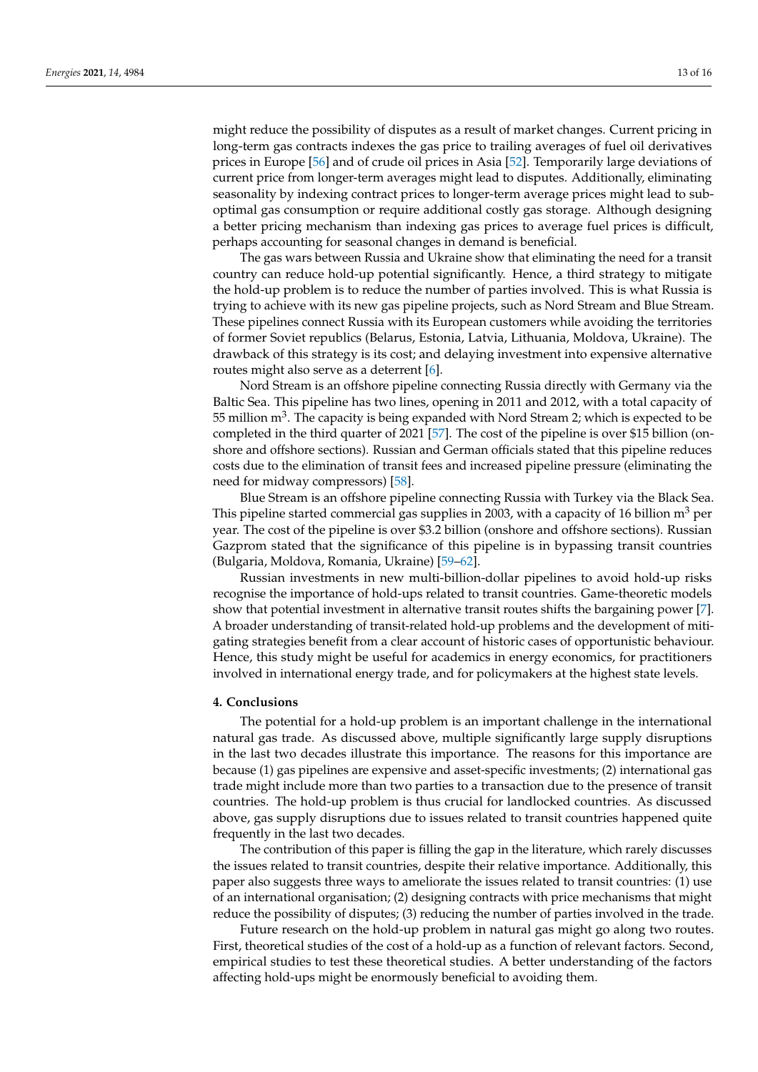might reduce the possibility of disputes as a result of market changes. Current pricing in long-term gas contracts indexes the gas price to trailing averages of fuel oil derivatives prices in Europe [\[56\]](#page-14-26) and of crude oil prices in Asia [\[52\]](#page-14-22). Temporarily large deviations of current price from longer-term averages might lead to disputes. Additionally, eliminating seasonality by indexing contract prices to longer-term average prices might lead to suboptimal gas consumption or require additional costly gas storage. Although designing a better pricing mechanism than indexing gas prices to average fuel prices is difficult, perhaps accounting for seasonal changes in demand is beneficial.

The gas wars between Russia and Ukraine show that eliminating the need for a transit country can reduce hold-up potential significantly. Hence, a third strategy to mitigate the hold-up problem is to reduce the number of parties involved. This is what Russia is trying to achieve with its new gas pipeline projects, such as Nord Stream and Blue Stream. These pipelines connect Russia with its European customers while avoiding the territories of former Soviet republics (Belarus, Estonia, Latvia, Lithuania, Moldova, Ukraine). The drawback of this strategy is its cost; and delaying investment into expensive alternative routes might also serve as a deterrent [\[6\]](#page-13-3).

Nord Stream is an offshore pipeline connecting Russia directly with Germany via the Baltic Sea. This pipeline has two lines, opening in 2011 and 2012, with a total capacity of 55 million  $\text{m}^3$ . The capacity is being expanded with Nord Stream 2; which is expected to be completed in the third quarter of 2021 [\[57\]](#page-15-0). The cost of the pipeline is over \$15 billion (onshore and offshore sections). Russian and German officials stated that this pipeline reduces costs due to the elimination of transit fees and increased pipeline pressure (eliminating the need for midway compressors) [\[58\]](#page-15-1).

Blue Stream is an offshore pipeline connecting Russia with Turkey via the Black Sea. This pipeline started commercial gas supplies in 2003, with a capacity of 16 billion  $m<sup>3</sup>$  per year. The cost of the pipeline is over \$3.2 billion (onshore and offshore sections). Russian Gazprom stated that the significance of this pipeline is in bypassing transit countries (Bulgaria, Moldova, Romania, Ukraine) [\[59–](#page-15-2)[62\]](#page-15-3).

Russian investments in new multi-billion-dollar pipelines to avoid hold-up risks recognise the importance of hold-ups related to transit countries. Game-theoretic models show that potential investment in alternative transit routes shifts the bargaining power [\[7\]](#page-13-4). A broader understanding of transit-related hold-up problems and the development of mitigating strategies benefit from a clear account of historic cases of opportunistic behaviour. Hence, this study might be useful for academics in energy economics, for practitioners involved in international energy trade, and for policymakers at the highest state levels.

#### **4. Conclusions**

The potential for a hold-up problem is an important challenge in the international natural gas trade. As discussed above, multiple significantly large supply disruptions in the last two decades illustrate this importance. The reasons for this importance are because (1) gas pipelines are expensive and asset-specific investments; (2) international gas trade might include more than two parties to a transaction due to the presence of transit countries. The hold-up problem is thus crucial for landlocked countries. As discussed above, gas supply disruptions due to issues related to transit countries happened quite frequently in the last two decades.

The contribution of this paper is filling the gap in the literature, which rarely discusses the issues related to transit countries, despite their relative importance. Additionally, this paper also suggests three ways to ameliorate the issues related to transit countries: (1) use of an international organisation; (2) designing contracts with price mechanisms that might reduce the possibility of disputes; (3) reducing the number of parties involved in the trade.

Future research on the hold-up problem in natural gas might go along two routes. First, theoretical studies of the cost of a hold-up as a function of relevant factors. Second, empirical studies to test these theoretical studies. A better understanding of the factors affecting hold-ups might be enormously beneficial to avoiding them.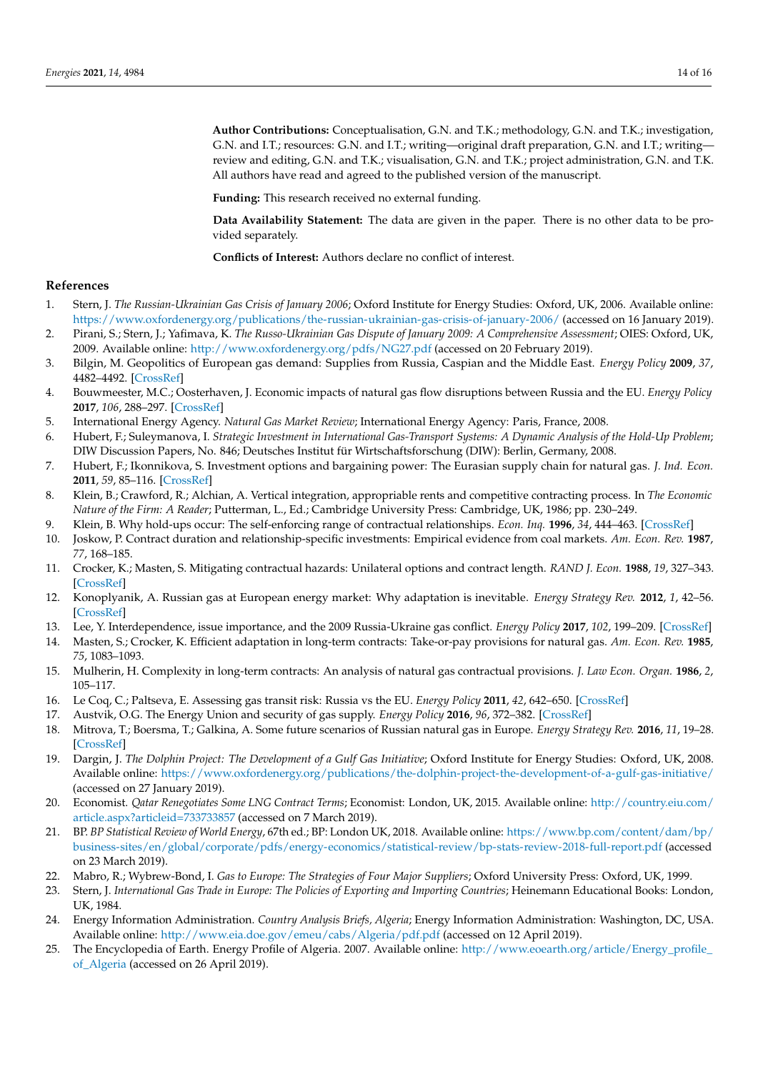**Author Contributions:** Conceptualisation, G.N. and T.K.; methodology, G.N. and T.K.; investigation, G.N. and I.T.; resources: G.N. and I.T.; writing—original draft preparation, G.N. and I.T.; writing review and editing, G.N. and T.K.; visualisation, G.N. and T.K.; project administration, G.N. and T.K. All authors have read and agreed to the published version of the manuscript.

**Funding:** This research received no external funding.

**Data Availability Statement:** The data are given in the paper. There is no other data to be provided separately.

**Conflicts of Interest:** Authors declare no conflict of interest.

## **References**

- <span id="page-13-0"></span>1. Stern, J. *The Russian-Ukrainian Gas Crisis of January 2006*; Oxford Institute for Energy Studies: Oxford, UK, 2006. Available online: <https://www.oxfordenergy.org/publications/the-russian-ukrainian-gas-crisis-of-january-2006/> (accessed on 16 January 2019).
- <span id="page-13-24"></span>2. Pirani, S.; Stern, J.; Yafimava, K. *The Russo-Ukrainian Gas Dispute of January 2009: A Comprehensive Assessment*; OIES: Oxford, UK, 2009. Available online: <http://www.oxfordenergy.org/pdfs/NG27.pdf> (accessed on 20 February 2019).
- <span id="page-13-14"></span>3. Bilgin, M. Geopolitics of European gas demand: Supplies from Russia, Caspian and the Middle East. *Energy Policy* **2009**, *37*, 4482–4492. [\[CrossRef\]](http://doi.org/10.1016/j.enpol.2009.05.070)
- <span id="page-13-1"></span>4. Bouwmeester, M.C.; Oosterhaven, J. Economic impacts of natural gas flow disruptions between Russia and the EU. *Energy Policy* **2017**, *106*, 288–297. [\[CrossRef\]](http://doi.org/10.1016/j.enpol.2017.03.030)
- <span id="page-13-2"></span>5. International Energy Agency. *Natural Gas Market Review*; International Energy Agency: Paris, France, 2008.
- <span id="page-13-3"></span>6. Hubert, F.; Suleymanova, I. *Strategic Investment in International Gas-Transport Systems: A Dynamic Analysis of the Hold-Up Problem*; DIW Discussion Papers, No. 846; Deutsches Institut für Wirtschaftsforschung (DIW): Berlin, Germany, 2008.
- <span id="page-13-4"></span>7. Hubert, F.; Ikonnikova, S. Investment options and bargaining power: The Eurasian supply chain for natural gas. *J. Ind. Econ.* **2011**, *59*, 85–116. [\[CrossRef\]](http://doi.org/10.1111/j.1467-6451.2011.00447.x)
- <span id="page-13-5"></span>8. Klein, B.; Crawford, R.; Alchian, A. Vertical integration, appropriable rents and competitive contracting process. In *The Economic Nature of the Firm: A Reader*; Putterman, L., Ed.; Cambridge University Press: Cambridge, UK, 1986; pp. 230–249.
- <span id="page-13-6"></span>9. Klein, B. Why hold-ups occur: The self-enforcing range of contractual relationships. *Econ. Inq.* **1996**, *34*, 444–463. [\[CrossRef\]](http://doi.org/10.1111/j.1465-7295.1996.tb01388.x)
- <span id="page-13-7"></span>10. Joskow, P. Contract duration and relationship-specific investments: Empirical evidence from coal markets. *Am. Econ. Rev.* **1987**, *77*, 168–185.
- <span id="page-13-8"></span>11. Crocker, K.; Masten, S. Mitigating contractual hazards: Unilateral options and contract length. *RAND J. Econ.* **1988**, *19*, 327–343. [\[CrossRef\]](http://doi.org/10.2307/2555660)
- <span id="page-13-9"></span>12. Konoplyanik, A. Russian gas at European energy market: Why adaptation is inevitable. *Energy Strategy Rev.* **2012**, *1*, 42–56. [\[CrossRef\]](http://doi.org/10.1016/j.esr.2012.02.001)
- <span id="page-13-10"></span>13. Lee, Y. Interdependence, issue importance, and the 2009 Russia-Ukraine gas conflict. *Energy Policy* **2017**, *102*, 199–209. [\[CrossRef\]](http://doi.org/10.1016/j.enpol.2016.11.038)
- <span id="page-13-11"></span>14. Masten, S.; Crocker, K. Efficient adaptation in long-term contracts: Take-or-pay provisions for natural gas. *Am. Econ. Rev.* **1985**, *75*, 1083–1093.
- <span id="page-13-12"></span>15. Mulherin, H. Complexity in long-term contracts: An analysis of natural gas contractual provisions. *J. Law Econ. Organ.* **1986**, *2*, 105–117.
- <span id="page-13-13"></span>16. Le Coq, C.; Paltseva, E. Assessing gas transit risk: Russia vs the EU. *Energy Policy* **2011**, *42*, 642–650. [\[CrossRef\]](http://doi.org/10.1016/j.enpol.2011.12.037)
- <span id="page-13-15"></span>17. Austvik, O.G. The Energy Union and security of gas supply. *Energy Policy* **2016**, *96*, 372–382. [\[CrossRef\]](http://doi.org/10.1016/j.enpol.2016.06.013)
- <span id="page-13-16"></span>18. Mitrova, T.; Boersma, T.; Galkina, A. Some future scenarios of Russian natural gas in Europe. *Energy Strategy Rev.* **2016**, *11*, 19–28. [\[CrossRef\]](http://doi.org/10.1016/j.esr.2016.06.001)
- <span id="page-13-17"></span>19. Dargin, J. *The Dolphin Project: The Development of a Gulf Gas Initiative*; Oxford Institute for Energy Studies: Oxford, UK, 2008. Available online: <https://www.oxfordenergy.org/publications/the-dolphin-project-the-development-of-a-gulf-gas-initiative/> (accessed on 27 January 2019).
- <span id="page-13-18"></span>20. Economist. *Qatar Renegotiates Some LNG Contract Terms*; Economist: London, UK, 2015. Available online: [http://country.eiu.com/](http://country.eiu.com/article.aspx?articleid=733733857) [article.aspx?articleid=733733857](http://country.eiu.com/article.aspx?articleid=733733857) (accessed on 7 March 2019).
- <span id="page-13-19"></span>21. BP. *BP Statistical Review of World Energy*, 67th ed.; BP: London UK, 2018. Available online: [https://www.bp.com/content/dam/bp/](https://www.bp.com/content/dam/bp/business-sites/en/global/corporate/pdfs/energy-economics/statistical-review/bp-stats-review-2018-full-report.pdf) [business-sites/en/global/corporate/pdfs/energy-economics/statistical-review/bp-stats-review-2018-full-report.pdf](https://www.bp.com/content/dam/bp/business-sites/en/global/corporate/pdfs/energy-economics/statistical-review/bp-stats-review-2018-full-report.pdf) (accessed on 23 March 2019).
- <span id="page-13-20"></span>22. Mabro, R.; Wybrew-Bond, I. *Gas to Europe: The Strategies of Four Major Suppliers*; Oxford University Press: Oxford, UK, 1999.
- <span id="page-13-21"></span>23. Stern, J. International Gas Trade in Europe: The Policies of Exporting and Importing Countries; Heinemann Educational Books: London, UK, 1984.
- <span id="page-13-22"></span>24. Energy Information Administration. *Country Analysis Briefs, Algeria*; Energy Information Administration: Washington, DC, USA. Available online: <http://www.eia.doe.gov/emeu/cabs/Algeria/pdf.pdf> (accessed on 12 April 2019).
- <span id="page-13-23"></span>25. The Encyclopedia of Earth. Energy Profile of Algeria. 2007. Available online: [http://www.eoearth.org/article/Energy\\_profile\\_](http://www.eoearth.org/article/Energy_profile_of_Algeria) [of\\_Algeria](http://www.eoearth.org/article/Energy_profile_of_Algeria) (accessed on 26 April 2019).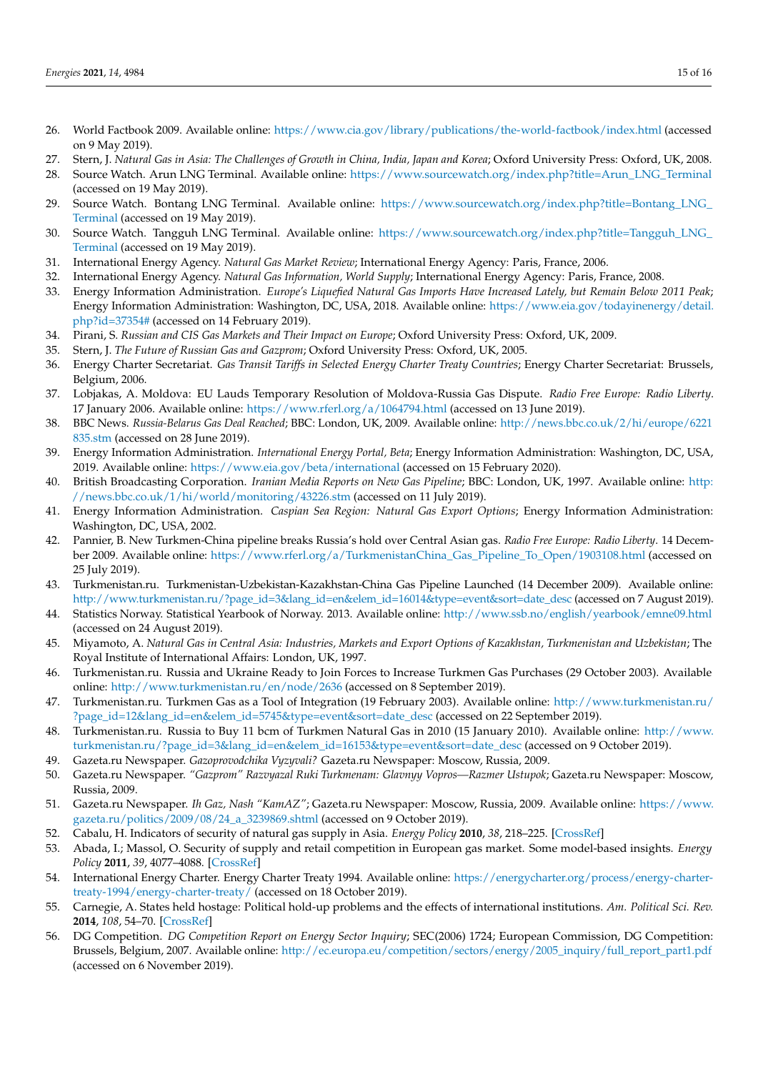- <span id="page-14-0"></span>26. World Factbook 2009. Available online: <https://www.cia.gov/library/publications/the-world-factbook/index.html> (accessed on 9 May 2019).
- <span id="page-14-1"></span>27. Stern, J. *Natural Gas in Asia: The Challenges of Growth in China, India, Japan and Korea*; Oxford University Press: Oxford, UK, 2008.
- 28. Source Watch. Arun LNG Terminal. Available online: [https://www.sourcewatch.org/index.php?title=Arun\\_LNG\\_Terminal](https://www.sourcewatch.org/index.php?title=Arun_LNG_Terminal) (accessed on 19 May 2019).
- 29. Source Watch. Bontang LNG Terminal. Available online: https://www.sourcewatch.org/index.php?title=Bontang\_LNG [Terminal](https://www.sourcewatch.org/index.php?title=Bontang_LNG_Terminal) (accessed on 19 May 2019).
- <span id="page-14-2"></span>30. Source Watch. Tangguh LNG Terminal. Available online: [https://www.sourcewatch.org/index.php?title=Tangguh\\_LNG\\_](https://www.sourcewatch.org/index.php?title=Tangguh_LNG_Terminal) [Terminal](https://www.sourcewatch.org/index.php?title=Tangguh_LNG_Terminal) (accessed on 19 May 2019).
- <span id="page-14-3"></span>31. International Energy Agency. *Natural Gas Market Review*; International Energy Agency: Paris, France, 2006.
- <span id="page-14-4"></span>32. International Energy Agency. *Natural Gas Information, World Supply*; International Energy Agency: Paris, France, 2008.
- <span id="page-14-5"></span>33. Energy Information Administration. *Europe's Liquefied Natural Gas Imports Have Increased Lately, but Remain Below 2011 Peak*; Energy Information Administration: Washington, DC, USA, 2018. Available online: [https://www.eia.gov/todayinenergy/detail.](https://www.eia.gov/todayinenergy/detail.php?id=37354#) [php?id=37354#](https://www.eia.gov/todayinenergy/detail.php?id=37354#) (accessed on 14 February 2019).
- <span id="page-14-6"></span>34. Pirani, S. *Russian and CIS Gas Markets and Their Impact on Europe*; Oxford University Press: Oxford, UK, 2009.
- <span id="page-14-7"></span>35. Stern, J. *The Future of Russian Gas and Gazprom*; Oxford University Press: Oxford, UK, 2005.
- <span id="page-14-8"></span>36. Energy Charter Secretariat. *Gas Transit Tariffs in Selected Energy Charter Treaty Countries*; Energy Charter Secretariat: Brussels, Belgium, 2006.
- <span id="page-14-9"></span>37. Lobjakas, A. Moldova: EU Lauds Temporary Resolution of Moldova-Russia Gas Dispute. *Radio Free Europe: Radio Liberty*. 17 January 2006. Available online: <https://www.rferl.org/a/1064794.html> (accessed on 13 June 2019).
- <span id="page-14-10"></span>38. BBC News. *Russia-Belarus Gas Deal Reached*; BBC: London, UK, 2009. Available online: [http://news.bbc.co.uk/2/hi/europe/6221](http://news.bbc.co.uk/2/hi/europe/6221835.stm) [835.stm](http://news.bbc.co.uk/2/hi/europe/6221835.stm) (accessed on 28 June 2019).
- <span id="page-14-11"></span>39. Energy Information Administration. *International Energy Portal, Beta*; Energy Information Administration: Washington, DC, USA, 2019. Available online: <https://www.eia.gov/beta/international> (accessed on 15 February 2020).
- <span id="page-14-12"></span>40. British Broadcasting Corporation. *Iranian Media Reports on New Gas Pipeline*; BBC: London, UK, 1997. Available online: [http:](http://news.bbc.co.uk/1/hi/world/monitoring/43226.stm) [//news.bbc.co.uk/1/hi/world/monitoring/43226.stm](http://news.bbc.co.uk/1/hi/world/monitoring/43226.stm) (accessed on 11 July 2019).
- <span id="page-14-13"></span>41. Energy Information Administration. *Caspian Sea Region: Natural Gas Export Options*; Energy Information Administration: Washington, DC, USA, 2002.
- <span id="page-14-14"></span>42. Pannier, B. New Turkmen-China pipeline breaks Russia's hold over Central Asian gas. *Radio Free Europe: Radio Liberty*. 14 December 2009. Available online: [https://www.rferl.org/a/TurkmenistanChina\\_Gas\\_Pipeline\\_To\\_Open/1903108.html](https://www.rferl.org/a/TurkmenistanChina_Gas_Pipeline_To_Open/1903108.html) (accessed on 25 July 2019).
- <span id="page-14-15"></span>43. Turkmenistan.ru. Turkmenistan-Uzbekistan-Kazakhstan-China Gas Pipeline Launched (14 December 2009). Available online: [http://www.turkmenistan.ru/?page\\_id=3&lang\\_id=en&elem\\_id=16014&type=event&sort=date\\_desc](http://www.turkmenistan.ru/?page_id=3&lang_id=en&elem_id=16014&type=event&sort=date_desc) (accessed on 7 August 2019).
- <span id="page-14-16"></span>44. Statistics Norway. Statistical Yearbook of Norway. 2013. Available online: <http://www.ssb.no/english/yearbook/emne09.html> (accessed on 24 August 2019).
- <span id="page-14-17"></span>45. Miyamoto, A. *Natural Gas in Central Asia: Industries, Markets and Export Options of Kazakhstan, Turkmenistan and Uzbekistan*; The Royal Institute of International Affairs: London, UK, 1997.
- <span id="page-14-18"></span>46. Turkmenistan.ru. Russia and Ukraine Ready to Join Forces to Increase Turkmen Gas Purchases (29 October 2003). Available online: <http://www.turkmenistan.ru/en/node/2636> (accessed on 8 September 2019).
- <span id="page-14-19"></span>47. Turkmenistan.ru. Turkmen Gas as a Tool of Integration (19 February 2003). Available online: [http://www.turkmenistan.ru/](http://www.turkmenistan.ru/?page_id=12&lang_id=en&elem_id=5745&type=event&sort=date_desc) [?page\\_id=12&lang\\_id=en&elem\\_id=5745&type=event&sort=date\\_desc](http://www.turkmenistan.ru/?page_id=12&lang_id=en&elem_id=5745&type=event&sort=date_desc) (accessed on 22 September 2019).
- <span id="page-14-20"></span>48. Turkmenistan.ru. Russia to Buy 11 bcm of Turkmen Natural Gas in 2010 (15 January 2010). Available online: [http://www.](http://www.turkmenistan.ru/?page_id=3&lang_id=en&elem_id=16153&type=event&sort=date_desc) [turkmenistan.ru/?page\\_id=3&lang\\_id=en&elem\\_id=16153&type=event&sort=date\\_desc](http://www.turkmenistan.ru/?page_id=3&lang_id=en&elem_id=16153&type=event&sort=date_desc) (accessed on 9 October 2019).
- 49. Gazeta.ru Newspaper. *Gazoprovodchika Vyzyvali?* Gazeta.ru Newspaper: Moscow, Russia, 2009.
- 50. Gazeta.ru Newspaper. *"Gazprom" Razvyazal Ruki Turkmenam: Glavnyy Vopros—Razmer Ustupok*; Gazeta.ru Newspaper: Moscow, Russia, 2009.
- <span id="page-14-21"></span>51. Gazeta.ru Newspaper. *Ih Gaz, Nash "KamAZ"*; Gazeta.ru Newspaper: Moscow, Russia, 2009. Available online: [https://www.](https://www.gazeta.ru/politics/2009/08/24_a_3239869.shtml) [gazeta.ru/politics/2009/08/24\\_a\\_3239869.shtml](https://www.gazeta.ru/politics/2009/08/24_a_3239869.shtml) (accessed on 9 October 2019).
- <span id="page-14-22"></span>52. Cabalu, H. Indicators of security of natural gas supply in Asia. *Energy Policy* **2010**, *38*, 218–225. [\[CrossRef\]](http://doi.org/10.1016/j.enpol.2009.09.008)
- <span id="page-14-23"></span>53. Abada, I.; Massol, O. Security of supply and retail competition in European gas market. Some model-based insights. *Energy Policy* **2011**, *39*, 4077–4088. [\[CrossRef\]](http://doi.org/10.1016/j.enpol.2011.03.043)
- <span id="page-14-24"></span>54. International Energy Charter. Energy Charter Treaty 1994. Available online: [https://energycharter.org/process/energy-charter](https://energycharter.org/process/energy-charter-treaty-1994/energy-charter-treaty/)[treaty-1994/energy-charter-treaty/](https://energycharter.org/process/energy-charter-treaty-1994/energy-charter-treaty/) (accessed on 18 October 2019).
- <span id="page-14-25"></span>55. Carnegie, A. States held hostage: Political hold-up problems and the effects of international institutions. *Am. Political Sci. Rev.* **2014**, *108*, 54–70. [\[CrossRef\]](http://doi.org/10.1017/S0003055413000646)
- <span id="page-14-26"></span>56. DG Competition. *DG Competition Report on Energy Sector Inquiry*; SEC(2006) 1724; European Commission, DG Competition: Brussels, Belgium, 2007. Available online: [http://ec.europa.eu/competition/sectors/energy/2005\\_inquiry/full\\_report\\_part1.pdf](http://ec.europa.eu/competition/sectors/energy/2005_inquiry/full_report_part1.pdf) (accessed on 6 November 2019).